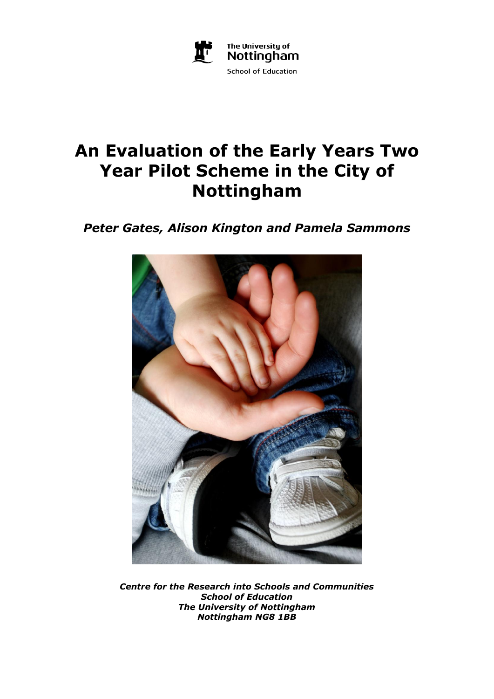

# **An Evaluation of the Early Years Two Year Pilot Scheme in the City of Nottingham**

*Peter Gates, Alison Kington and Pamela Sammons*



*Centre for the Research into Schools and Communities School of Education The University of Nottingham Nottingham NG8 1BB*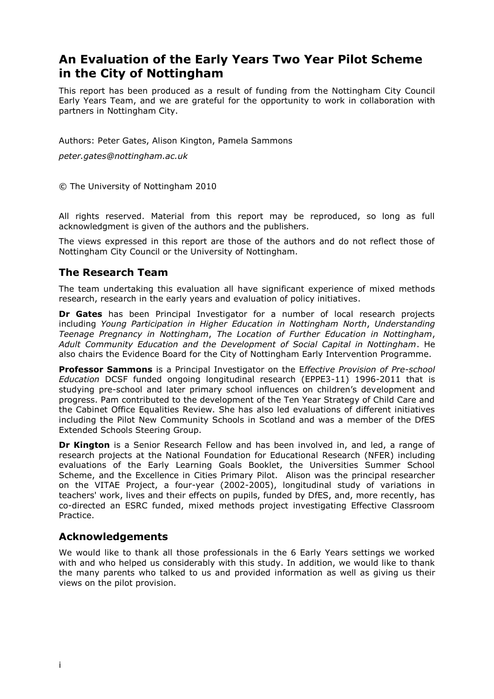# **An Evaluation of the Early Years Two Year Pilot Scheme in the City of Nottingham**

This report has been produced as a result of funding from the Nottingham City Council Early Years Team, and we are grateful for the opportunity to work in collaboration with partners in Nottingham City.

Authors: Peter Gates, Alison Kington, Pamela Sammons

*peter.gates@nottingham.ac.uk*

© The University of Nottingham 2010

All rights reserved. Material from this report may be reproduced, so long as full acknowledgment is given of the authors and the publishers.

The views expressed in this report are those of the authors and do not reflect those of Nottingham City Council or the University of Nottingham.

# **The Research Team**

The team undertaking this evaluation all have significant experience of mixed methods research, research in the early years and evaluation of policy initiatives.

**Dr Gates** has been Principal Investigator for a number of local research projects including *Young Participation in Higher Education in Nottingham North*, *Understanding Teenage Pregnancy in Nottingham*, *The Location of Further Education in Nottingham*, *Adult Community Education and the Development of Social Capital in Nottingham*. He also chairs the Evidence Board for the City of Nottingham Early Intervention Programme.

**Professor Sammons** is a Principal Investigator on the E*ffective Provision of Pre-school Education* DCSF funded ongoing longitudinal research (EPPE3-11) 1996-2011 that is studying pre-school and later primary school influences on children's development and progress. Pam contributed to the development of the Ten Year Strategy of Child Care and the Cabinet Office Equalities Review. She has also led evaluations of different initiatives including the Pilot New Community Schools in Scotland and was a member of the DfES Extended Schools Steering Group.

**Dr Kington** is a Senior Research Fellow and has been involved in, and led, a range of research projects at the National Foundation for Educational Research (NFER) including evaluations of the Early Learning Goals Booklet, the Universities Summer School Scheme, and the Excellence in Cities Primary Pilot. Alison was the principal researcher on the VITAE Project, a four-year (2002-2005), longitudinal study of variations in teachers' work, lives and their effects on pupils, funded by DfES, and, more recently, has co-directed an ESRC funded, mixed methods project investigating Effective Classroom **Practice** 

# **Acknowledgements**

We would like to thank all those professionals in the 6 Early Years settings we worked with and who helped us considerably with this study. In addition, we would like to thank the many parents who talked to us and provided information as well as giving us their views on the pilot provision.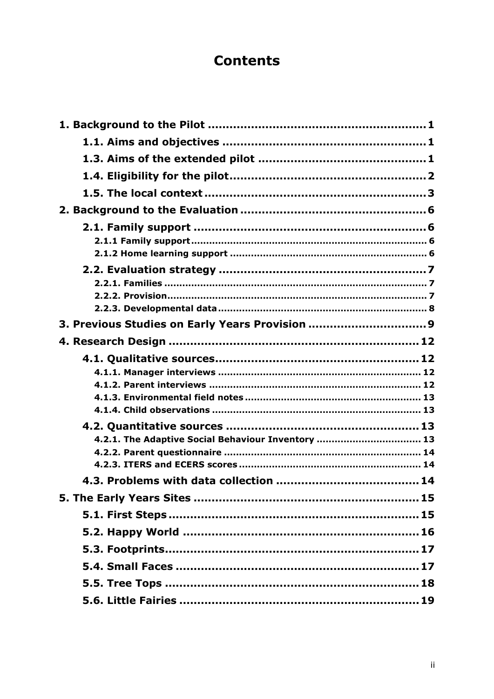# **Contents**

| 3. Previous Studies on Early Years Provision 9     |  |
|----------------------------------------------------|--|
|                                                    |  |
|                                                    |  |
|                                                    |  |
|                                                    |  |
|                                                    |  |
|                                                    |  |
|                                                    |  |
| 4.2.1. The Adaptive Social Behaviour Inventory  13 |  |
|                                                    |  |
|                                                    |  |
|                                                    |  |
|                                                    |  |
|                                                    |  |
|                                                    |  |
|                                                    |  |
|                                                    |  |
|                                                    |  |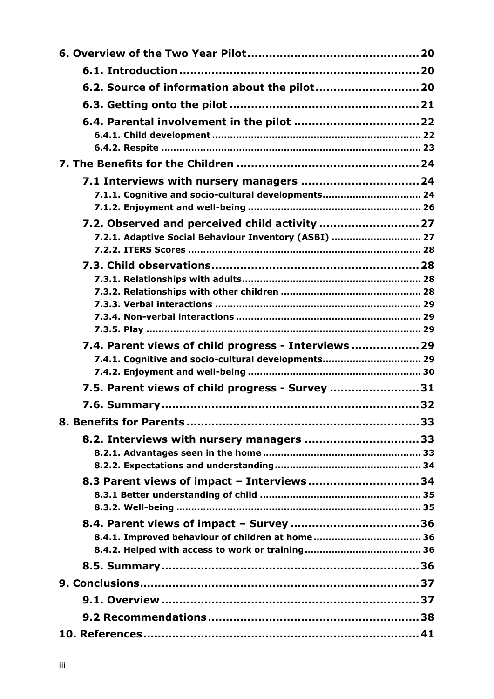| 6.2. Source of information about the pilot 20                                                               |  |
|-------------------------------------------------------------------------------------------------------------|--|
|                                                                                                             |  |
|                                                                                                             |  |
|                                                                                                             |  |
|                                                                                                             |  |
|                                                                                                             |  |
|                                                                                                             |  |
| 7.1.1. Cognitive and socio-cultural developments 24                                                         |  |
|                                                                                                             |  |
| 7.2.1. Adaptive Social Behaviour Inventory (ASBI)  27                                                       |  |
|                                                                                                             |  |
|                                                                                                             |  |
|                                                                                                             |  |
|                                                                                                             |  |
|                                                                                                             |  |
|                                                                                                             |  |
|                                                                                                             |  |
| 7.4. Parent views of child progress - Interviews  29<br>7.4.1. Cognitive and socio-cultural developments 29 |  |
|                                                                                                             |  |
| 7.5. Parent views of child progress - Survey  31                                                            |  |
|                                                                                                             |  |
|                                                                                                             |  |
| 8.2. Interviews with nursery managers  33                                                                   |  |
|                                                                                                             |  |
|                                                                                                             |  |
| 8.3 Parent views of impact - Interviews 34                                                                  |  |
|                                                                                                             |  |
|                                                                                                             |  |
|                                                                                                             |  |
| 8.4.1. Improved behaviour of children at home 36                                                            |  |
|                                                                                                             |  |
|                                                                                                             |  |
|                                                                                                             |  |
|                                                                                                             |  |
|                                                                                                             |  |
|                                                                                                             |  |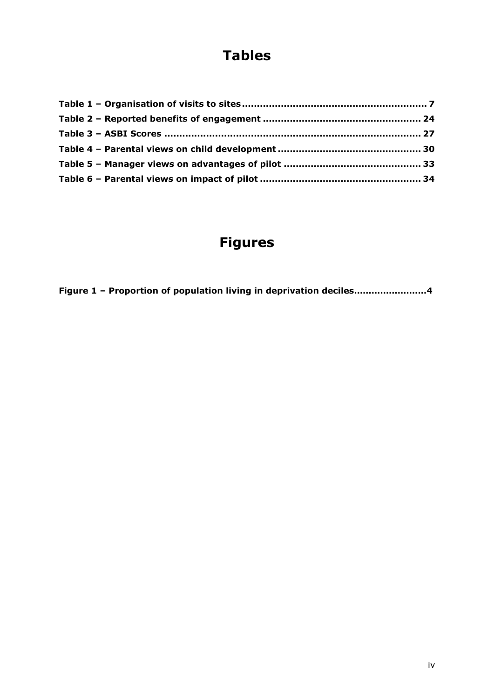# **Tables**

# **Figures**

**Figure 1 – Proportion of population living in deprivation deciles………………….…4**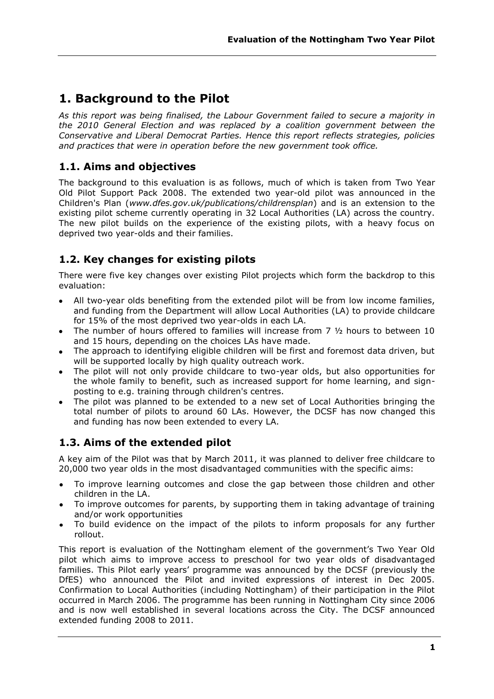# **1. Background to the Pilot**

*As this report was being finalised, the Labour Government failed to secure a majority in the 2010 General Election and was replaced by a coalition government between the Conservative and Liberal Democrat Parties. Hence this report reflects strategies, policies and practices that were in operation before the new government took office.* 

# **1.1. Aims and objectives**

The background to this evaluation is as follows, much of which is taken from Two Year Old Pilot Support Pack 2008. The extended two year-old pilot was announced in the Children's Plan (*www.dfes.gov.uk/publications/childrensplan*) and is an extension to the existing pilot scheme currently operating in 32 Local Authorities (LA) across the country. The new pilot builds on the experience of the existing pilots, with a heavy focus on deprived two year-olds and their families.

# **1.2. Key changes for existing pilots**

There were five key changes over existing Pilot projects which form the backdrop to this evaluation:

- All two-year olds benefiting from the extended pilot will be from low income families, and funding from the Department will allow Local Authorities (LA) to provide childcare for 15% of the most deprived two year-olds in each LA.
- The number of hours offered to families will increase from 7 ½ hours to between 10 and 15 hours, depending on the choices LAs have made.
- The approach to identifying eligible children will be first and foremost data driven, but will be supported locally by high quality outreach work.
- The pilot will not only provide childcare to two-year olds, but also opportunities for the whole family to benefit, such as increased support for home learning, and signposting to e.g. training through children's centres.
- The pilot was planned to be extended to a new set of Local Authorities bringing the total number of pilots to around 60 LAs. However, the DCSF has now changed this and funding has now been extended to every LA.

# **1.3. Aims of the extended pilot**

A key aim of the Pilot was that by March 2011, it was planned to deliver free childcare to 20,000 two year olds in the most disadvantaged communities with the specific aims:

- To improve learning outcomes and close the gap between those children and other children in the LA.
- To improve outcomes for parents, by supporting them in taking advantage of training and/or work opportunities
- To build evidence on the impact of the pilots to inform proposals for any further rollout.

This report is evaluation of the Nottingham element of the government's Two Year Old pilot which aims to improve access to preschool for two year olds of disadvantaged families. This Pilot early years' programme was announced by the DCSF (previously the DfES) who announced the Pilot and invited expressions of interest in Dec 2005. Confirmation to Local Authorities (including Nottingham) of their participation in the Pilot occurred in March 2006. The programme has been running in Nottingham City since 2006 and is now well established in several locations across the City. The DCSF announced extended funding 2008 to 2011.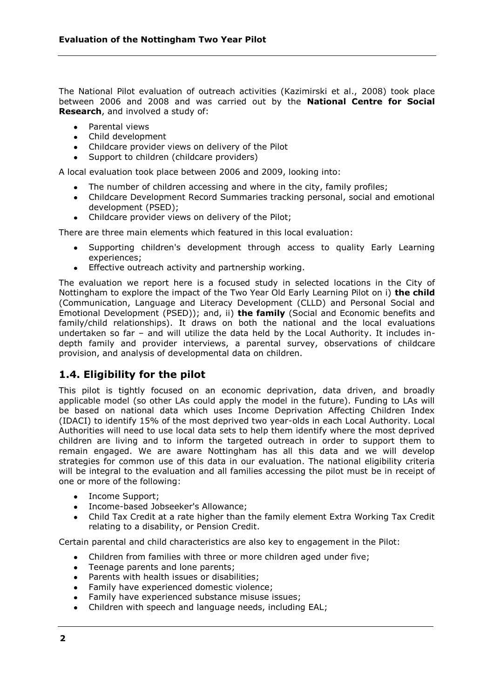The National Pilot evaluation of outreach activities (Kazimirski et al., 2008) took place between 2006 and 2008 and was carried out by the **National Centre for Social Research**, and involved a study of:

- Parental views
- Child development
- Childcare provider views on delivery of the Pilot
- Support to children (childcare providers)

A local evaluation took place between 2006 and 2009, looking into:

- The number of children accessing and where in the city, family profiles;
- Childcare Development Record Summaries tracking personal, social and emotional development (PSED);
- Childcare provider views on delivery of the Pilot;

There are three main elements which featured in this local evaluation:

- Supporting children's development through access to quality Early Learning experiences;
- **Effective outreach activity and partnership working.**

The evaluation we report here is a focused study in selected locations in the City of Nottingham to explore the impact of the Two Year Old Early Learning Pilot on i) **the child** (Communication, Language and Literacy Development (CLLD) and Personal Social and Emotional Development (PSED)); and, ii) **the family** (Social and Economic benefits and family/child relationships). It draws on both the national and the local evaluations undertaken so far – and will utilize the data held by the Local Authority. It includes indepth family and provider interviews, a parental survey, observations of childcare provision, and analysis of developmental data on children.

# **1.4. Eligibility for the pilot**

This pilot is tightly focused on an economic deprivation, data driven, and broadly applicable model (so other LAs could apply the model in the future). Funding to LAs will be based on national data which uses Income Deprivation Affecting Children Index (IDACI) to identify 15% of the most deprived two year-olds in each Local Authority. Local Authorities will need to use local data sets to help them identify where the most deprived children are living and to inform the targeted outreach in order to support them to remain engaged. We are aware Nottingham has all this data and we will develop strategies for common use of this data in our evaluation. The national eligibility criteria will be integral to the evaluation and all families accessing the pilot must be in receipt of one or more of the following:

- Income Support:
- Income-based Jobseeker's Allowance;
- Child Tax Credit at a rate higher than the family element Extra Working Tax Credit  $\bullet$ relating to a disability, or Pension Credit.

Certain parental and child characteristics are also key to engagement in the Pilot:

- Children from families with three or more children aged under five;
- Teenage parents and lone parents;
- Parents with health issues or disabilities;
- Family have experienced domestic violence;
- Family have experienced substance misuse issues;
- Children with speech and language needs, including EAL;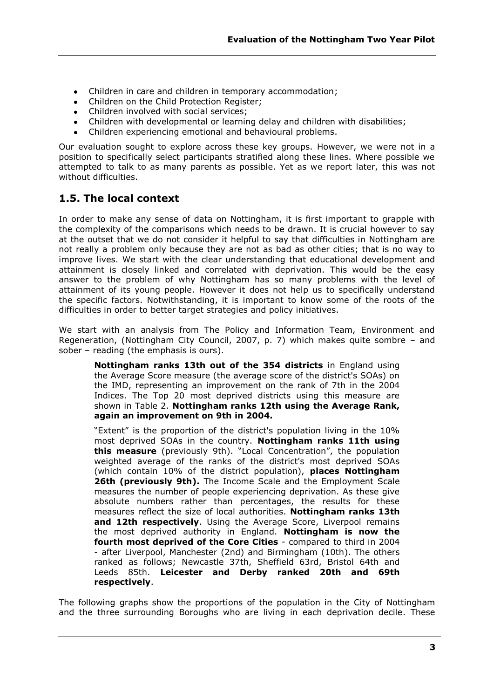- Children in care and children in temporary accommodation;
- Children on the Child Protection Register;
- Children involved with social services;
- Children with developmental or learning delay and children with disabilities;
- Children experiencing emotional and behavioural problems.

Our evaluation sought to explore across these key groups. However, we were not in a position to specifically select participants stratified along these lines. Where possible we attempted to talk to as many parents as possible. Yet as we report later, this was not without difficulties.

# **1.5. The local context**

In order to make any sense of data on Nottingham, it is first important to grapple with the complexity of the comparisons which needs to be drawn. It is crucial however to say at the outset that we do not consider it helpful to say that difficulties in Nottingham are not really a problem only because they are not as bad as other cities; that is no way to improve lives. We start with the clear understanding that educational development and attainment is closely linked and correlated with deprivation. This would be the easy answer to the problem of why Nottingham has so many problems with the level of attainment of its young people. However it does not help us to specifically understand the specific factors. Notwithstanding, it is important to know some of the roots of the difficulties in order to better target strategies and policy initiatives.

We start with an analysis from The Policy and Information Team, Environment and Regeneration, (Nottingham City Council, 2007, p. 7) which makes quite sombre – and sober – reading (the emphasis is ours).

**Nottingham ranks 13th out of the 354 districts** in England using the Average Score measure (the average score of the district's SOAs) on the IMD, representing an improvement on the rank of 7th in the 2004 Indices. The Top 20 most deprived districts using this measure are shown in Table 2. **Nottingham ranks 12th using the Average Rank, again an improvement on 9th in 2004.** 

"Extent" is the proportion of the district's population living in the 10% most deprived SOAs in the country. **Nottingham ranks 11th using this measure** (previously 9th). "Local Concentration", the population weighted average of the ranks of the district's most deprived SOAs (which contain 10% of the district population), **places Nottingham 26th (previously 9th).** The Income Scale and the Employment Scale measures the number of people experiencing deprivation. As these give absolute numbers rather than percentages, the results for these measures reflect the size of local authorities. **Nottingham ranks 13th and 12th respectively**. Using the Average Score, Liverpool remains the most deprived authority in England. **Nottingham is now the fourth most deprived of the Core Cities** - compared to third in 2004 - after Liverpool, Manchester (2nd) and Birmingham (10th). The others ranked as follows; Newcastle 37th, Sheffield 63rd, Bristol 64th and Leeds 85th. **Leicester and Derby ranked 20th and 69th respectively**.

The following graphs show the proportions of the population in the City of Nottingham and the three surrounding Boroughs who are living in each deprivation decile. These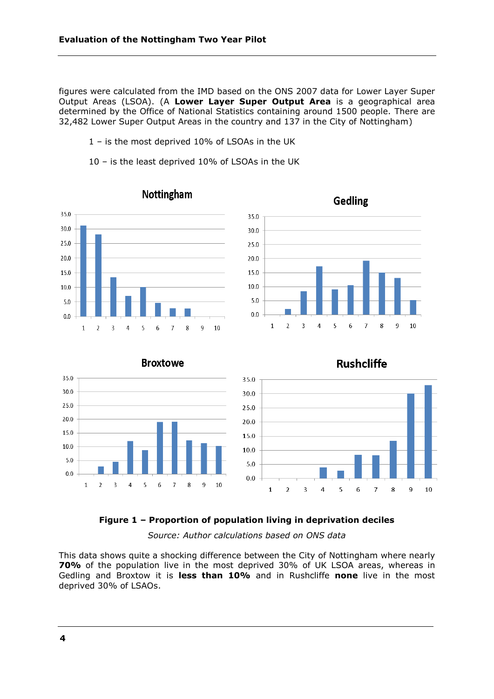figures were calculated from the IMD based on the ONS 2007 data for Lower Layer Super Output Areas (LSOA). (A **Lower Layer Super Output Area** is a geographical area determined by the Office of National Statistics containing around 1500 people. There are 32,482 Lower Super Output Areas in the country and 137 in the City of Nottingham)

- 1 is the most deprived 10% of LSOAs in the UK
- 10 is the least deprived 10% of LSOAs in the UK



#### **Figure 1 – Proportion of population living in deprivation deciles**

*Source: Author calculations based on ONS data*

This data shows quite a shocking difference between the City of Nottingham where nearly **70%** of the population live in the most deprived 30% of UK LSOA areas, whereas in Gedling and Broxtow it is **less than 10%** and in Rushcliffe **none** live in the most deprived 30% of LSAOs.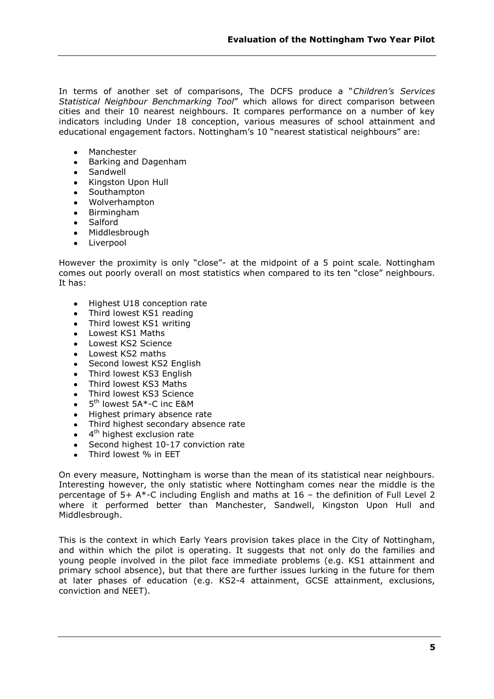In terms of another set of comparisons, The DCFS produce a "Children's Services *Statistical Neighbour Benchmarking Tool*‖ which allows for direct comparison between cities and their 10 nearest neighbours. It compares performance on a number of key indicators including Under 18 conception, various measures of school attainment and educational engagement factors. Nottingham's 10 "nearest statistical neighbours" are:

- Manchester
- Barking and Dagenham
- Sandwell
- Kingston Upon Hull  $\bullet$
- Southampton
- $\bullet$ Wolverhampton
- Birmingham  $\bullet$
- Salford
- Middlesbrough
- Liverpool

However the proximity is only "close"- at the midpoint of a 5 point scale. Nottingham comes out poorly overall on most statistics when compared to its ten "close" neighbours. It has:

- Highest U18 conception rate
- Third lowest KS1 reading
- Third lowest KS1 writing
- Lowest KS1 Maths
- Lowest KS2 Science
- Lowest KS2 maths
- Second lowest KS2 English  $\bullet$
- Third lowest KS3 English
- Third lowest KS3 Maths
- Third lowest KS3 Science
- 5<sup>th</sup> lowest 5A\*-C inc E&M
- Highest primary absence rate
- Third highest secondary absence rate  $\bullet$
- 4<sup>th</sup> highest exclusion rate  $\blacksquare$
- Second highest 10-17 conviction rate  $\bullet$
- Third lowest % in EET

On every measure, Nottingham is worse than the mean of its statistical near neighbours. Interesting however, the only statistic where Nottingham comes near the middle is the percentage of 5+ A\*-C including English and maths at 16 – the definition of Full Level 2 where it performed better than Manchester, Sandwell, Kingston Upon Hull and Middlesbrough.

This is the context in which Early Years provision takes place in the City of Nottingham, and within which the pilot is operating. It suggests that not only do the families and young people involved in the pilot face immediate problems (e.g. KS1 attainment and primary school absence), but that there are further issues lurking in the future for them at later phases of education (e.g. KS2-4 attainment, GCSE attainment, exclusions, conviction and NEET).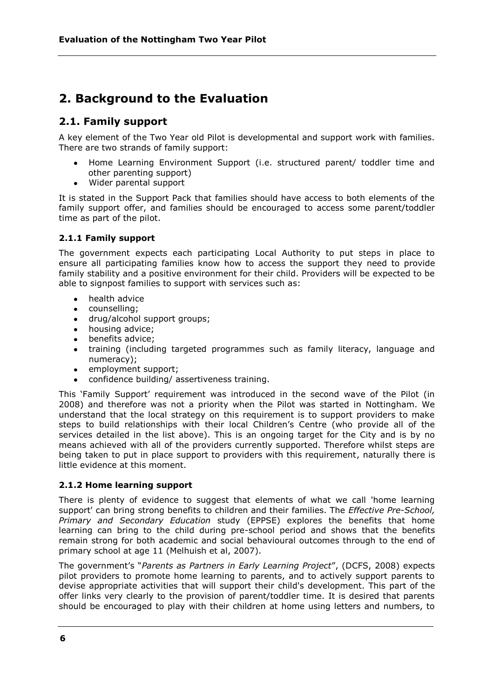# **2. Background to the Evaluation**

# **2.1. Family support**

A key element of the Two Year old Pilot is developmental and support work with families. There are two strands of family support:

- Home Learning Environment Support (i.e. structured parent/ toddler time and other parenting support)
- Wider parental support

It is stated in the Support Pack that families should have access to both elements of the family support offer, and families should be encouraged to access some parent/toddler time as part of the pilot.

## **2.1.1 Family support**

The government expects each participating Local Authority to put steps in place to ensure all participating families know how to access the support they need to provide family stability and a positive environment for their child. Providers will be expected to be able to signpost families to support with services such as:

- health advice
- counselling;
- drug/alcohol support groups;
- housing advice;
- benefits advice:
- training (including targeted programmes such as family literacy, language and numeracy);
- employment support;
- confidence building/ assertiveness training.

This 'Family Support' requirement was introduced in the second wave of the Pilot (in 2008) and therefore was not a priority when the Pilot was started in Nottingham. We understand that the local strategy on this requirement is to support providers to make steps to build relationships with their local Children's Centre (who provide all of the services detailed in the list above). This is an ongoing target for the City and is by no means achieved with all of the providers currently supported. Therefore whilst steps are being taken to put in place support to providers with this requirement, naturally there is little evidence at this moment.

## **2.1.2 Home learning support**

There is plenty of evidence to suggest that elements of what we call 'home learning support' can bring strong benefits to children and their families. The *Effective Pre-School, Primary and Secondary Education* study (EPPSE) explores the benefits that home learning can bring to the child during pre-school period and shows that the benefits remain strong for both academic and social behavioural outcomes through to the end of primary school at age 11 (Melhuish et al, 2007).

The government's "Parents as Partners in Early Learning Project", (DCFS, 2008) expects pilot providers to promote home learning to parents, and to actively support parents to devise appropriate activities that will support their child's development. This part of the offer links very clearly to the provision of parent/toddler time. It is desired that parents should be encouraged to play with their children at home using letters and numbers, to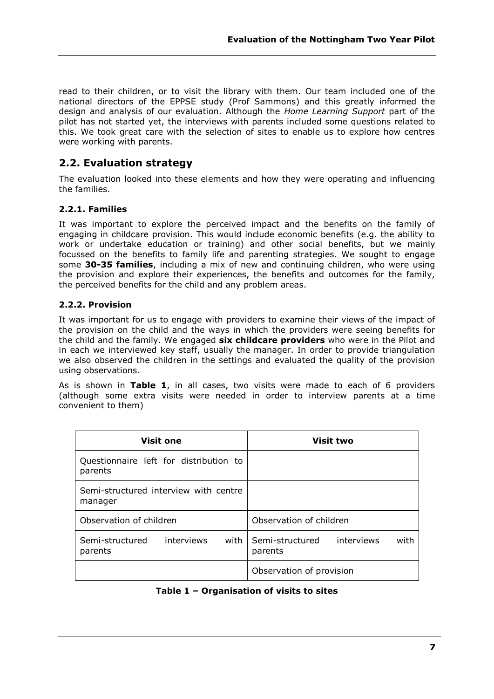read to their children, or to visit the library with them. Our team included one of the national directors of the EPPSE study (Prof Sammons) and this greatly informed the design and analysis of our evaluation. Although the *Home Learning Support* part of the pilot has not started yet, the interviews with parents included some questions related to this. We took great care with the selection of sites to enable us to explore how centres were working with parents.

# **2.2. Evaluation strategy**

The evaluation looked into these elements and how they were operating and influencing the families.

## **2.2.1. Families**

It was important to explore the perceived impact and the benefits on the family of engaging in childcare provision. This would include economic benefits (e.g. the ability to work or undertake education or training) and other social benefits, but we mainly focussed on the benefits to family life and parenting strategies. We sought to engage some **30-35 families**, including a mix of new and continuing children, who were using the provision and explore their experiences, the benefits and outcomes for the family, the perceived benefits for the child and any problem areas.

## **2.2.2. Provision**

It was important for us to engage with providers to examine their views of the impact of the provision on the child and the ways in which the providers were seeing benefits for the child and the family. We engaged **six childcare providers** who were in the Pilot and in each we interviewed key staff, usually the manager. In order to provide triangulation we also observed the children in the settings and evaluated the quality of the provision using observations.

As is shown in **Table 1**, in all cases, two visits were made to each of 6 providers (although some extra visits were needed in order to interview parents at a time convenient to them)

| <b>Visit one</b>                                  | <b>Visit two</b>                                 |
|---------------------------------------------------|--------------------------------------------------|
| Questionnaire left for distribution to<br>parents |                                                  |
| Semi-structured interview with centre<br>manager  |                                                  |
| Observation of children                           | Observation of children                          |
| Semi-structured<br>interviews<br>with<br>parents  | Semi-structured<br>interviews<br>with<br>parents |
|                                                   | Observation of provision                         |

## **Table 1 – Organisation of visits to sites**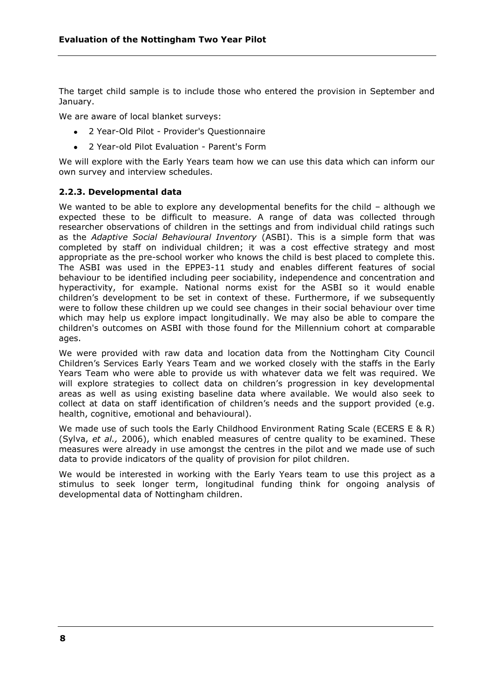The target child sample is to include those who entered the provision in September and January.

We are aware of local blanket surveys:

- 2 Year-Old Pilot Provider's Questionnaire
- 2 Year-old Pilot Evaluation Parent's Form

We will explore with the Early Years team how we can use this data which can inform our own survey and interview schedules.

#### **2.2.3. Developmental data**

We wanted to be able to explore any developmental benefits for the child – although we expected these to be difficult to measure. A range of data was collected through researcher observations of children in the settings and from individual child ratings such as the *Adaptive Social Behavioural Inventory* (ASBI). This is a simple form that was completed by staff on individual children; it was a cost effective strategy and most appropriate as the pre-school worker who knows the child is best placed to complete this. The ASBI was used in the EPPE3-11 study and enables different features of social behaviour to be identified including peer sociability, independence and concentration and hyperactivity, for example. National norms exist for the ASBI so it would enable children's development to be set in context of these. Furthermore, if we subsequently were to follow these children up we could see changes in their social behaviour over time which may help us explore impact longitudinally. We may also be able to compare the children's outcomes on ASBI with those found for the Millennium cohort at comparable ages.

We were provided with raw data and location data from the Nottingham City Council Children's Services Early Years Team and we worked closely with the staffs in the Early Years Team who were able to provide us with whatever data we felt was required. We will explore strategies to collect data on children's progression in key developmental areas as well as using existing baseline data where available. We would also seek to collect at data on staff identification of children's needs and the support provided (e.g. health, cognitive, emotional and behavioural).

We made use of such tools the Early Childhood Environment Rating Scale (ECERS E & R) (Sylva, *et al.,* 2006), which enabled measures of centre quality to be examined. These measures were already in use amongst the centres in the pilot and we made use of such data to provide indicators of the quality of provision for pilot children.

We would be interested in working with the Early Years team to use this project as a stimulus to seek longer term, longitudinal funding think for ongoing analysis of developmental data of Nottingham children.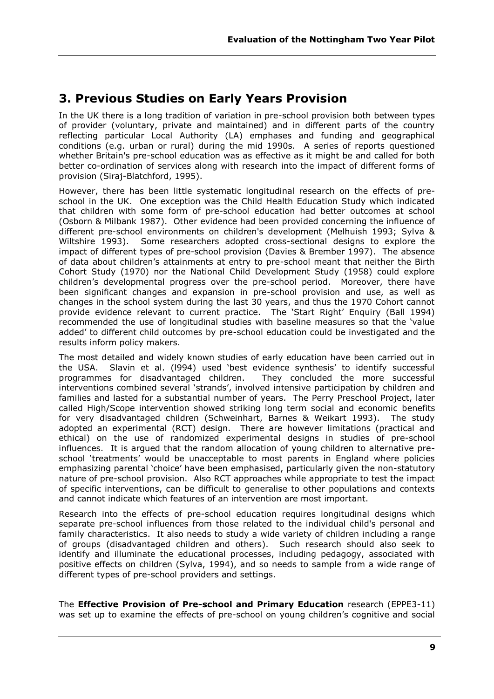# **3. Previous Studies on Early Years Provision**

In the UK there is a long tradition of variation in pre-school provision both between types of provider (voluntary, private and maintained) and in different parts of the country reflecting particular Local Authority (LA) emphases and funding and geographical conditions (e.g. urban or rural) during the mid 1990s. A series of reports questioned whether Britain's pre-school education was as effective as it might be and called for both better co-ordination of services along with research into the impact of different forms of provision (Siraj-Blatchford, 1995).

However, there has been little systematic longitudinal research on the effects of preschool in the UK. One exception was the Child Health Education Study which indicated that children with some form of pre-school education had better outcomes at school (Osborn & Milbank 1987). Other evidence had been provided concerning the influence of different pre-school environments on children's development (Melhuish 1993; Sylva & Wiltshire 1993). Some researchers adopted cross-sectional designs to explore the impact of different types of pre-school provision (Davies & Brember 1997). The absence of data about children's attainments at entry to pre-school meant that neither the Birth Cohort Study (1970) nor the National Child Development Study (1958) could explore children's developmental progress over the pre-school period. Moreover, there have been significant changes and expansion in pre-school provision and use, as well as changes in the school system during the last 30 years, and thus the 1970 Cohort cannot provide evidence relevant to current practice. The 'Start Right' Enquiry (Ball 1994) recommended the use of longitudinal studies with baseline measures so that the 'value added' to different child outcomes by pre-school education could be investigated and the results inform policy makers.

The most detailed and widely known studies of early education have been carried out in the USA. Slavin et al. (1994) used 'best evidence synthesis' to identify successful programmes for disadvantaged children. They concluded the more successful interventions combined several 'strands', involved intensive participation by children and families and lasted for a substantial number of years. The Perry Preschool Project, later called High/Scope intervention showed striking long term social and economic benefits for very disadvantaged children (Schweinhart, Barnes & Weikart 1993). The study adopted an experimental (RCT) design. There are however limitations (practical and ethical) on the use of randomized experimental designs in studies of pre-school influences. It is argued that the random allocation of young children to alternative preschool 'treatments' would be unacceptable to most parents in England where policies emphasizing parental 'choice' have been emphasised, particularly given the non-statutory nature of pre-school provision. Also RCT approaches while appropriate to test the impact of specific interventions, can be difficult to generalise to other populations and contexts and cannot indicate which features of an intervention are most important.

Research into the effects of pre-school education requires longitudinal designs which separate pre-school influences from those related to the individual child's personal and family characteristics. It also needs to study a wide variety of children including a range of groups (disadvantaged children and others). Such research should also seek to identify and illuminate the educational processes, including pedagogy, associated with positive effects on children (Sylva, 1994), and so needs to sample from a wide range of different types of pre-school providers and settings.

The **Effective Provision of Pre-school and Primary Education** research (EPPE3-11) was set up to examine the effects of pre-school on young children's cognitive and social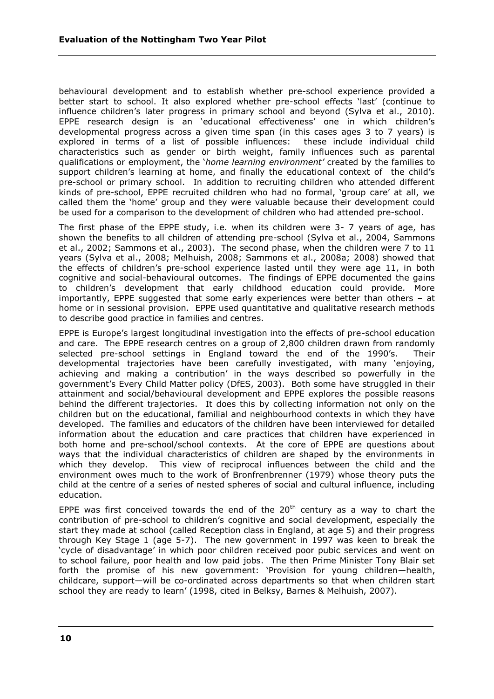behavioural development and to establish whether pre-school experience provided a better start to school. It also explored whether pre-school effects 'last' (continue to influence children's later progress in primary school and beyond (Sylva et al., 2010). EPPE research design is an 'educational effectiveness' one in which children's developmental progress across a given time span (in this cases ages 3 to 7 years) is explored in terms of a list of possible influences: these include individual child characteristics such as gender or birth weight, family influences such as parental qualifications or employment, the ‗*home learning environment'* created by the families to support children's learning at home, and finally the educational context of the child's pre-school or primary school. In addition to recruiting children who attended different kinds of pre-school, EPPE recruited children who had no formal, 'group care' at all, we called them the 'home' group and they were valuable because their development could be used for a comparison to the development of children who had attended pre-school.

The first phase of the EPPE study, i.e. when its children were 3- 7 years of age, has shown the benefits to all children of attending pre-school (Sylva et al., 2004, Sammons et al., 2002; Sammons et al., 2003). The second phase, when the children were 7 to 11 years (Sylva et al., 2008; Melhuish, 2008; Sammons et al., 2008a; 2008) showed that the effects of children's pre-school experience lasted until they were age 11, in both cognitive and social-behavioural outcomes. The findings of EPPE documented the gains to children's development that early childhood education could provide. More importantly, EPPE suggested that some early experiences were better than others – at home or in sessional provision. EPPE used quantitative and qualitative research methods to describe good practice in families and centres.

EPPE is Europe's largest longitudinal investigation into the effects of pre-school education and care. The EPPE research centres on a group of 2,800 children drawn from randomly selected pre-school settings in England toward the end of the 1990's. Their developmental trajectories have been carefully investigated, with many 'enjoying, achieving and making a contribution' in the ways described so powerfully in the government's Every Child Matter policy (DfES, 2003). Both some have struggled in their attainment and social/behavioural development and EPPE explores the possible reasons behind the different trajectories. It does this by collecting information not only on the children but on the educational, familial and neighbourhood contexts in which they have developed. The families and educators of the children have been interviewed for detailed information about the education and care practices that children have experienced in both home and pre-school/school contexts. At the core of EPPE are questions about ways that the individual characteristics of children are shaped by the environments in which they develop. This view of reciprocal influences between the child and the environment owes much to the work of Bronfrenbrenner (1979) whose theory puts the child at the centre of a series of nested spheres of social and cultural influence, including education.

EPPE was first conceived towards the end of the  $20<sup>th</sup>$  century as a way to chart the contribution of pre-school to children's cognitive and social development, especially the start they made at school (called Reception class in England, at age 5) and their progress through Key Stage 1 (age 5-7). The new government in 1997 was keen to break the `cycle of disadvantage' in which poor children received poor pubic services and went on to school failure, poor health and low paid jobs. The then Prime Minister Tony Blair set forth the promise of his new government: 'Provision for young children-health, childcare, support—will be co-ordinated across departments so that when children start school they are ready to learn' (1998, cited in Belksy, Barnes & Melhuish, 2007).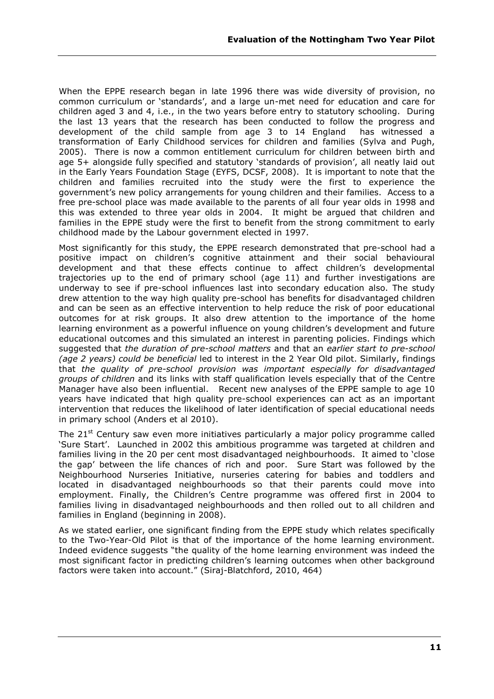When the EPPE research began in late 1996 there was wide diversity of provision, no common curriculum or 'standards', and a large un-met need for education and care for children aged 3 and 4, i.e., in the two years before entry to statutory schooling. During the last 13 years that the research has been conducted to follow the progress and development of the child sample from age 3 to 14 England has witnessed a transformation of Early Childhood services for children and families (Sylva and Pugh, 2005). There is now a common entitlement curriculum for children between birth and age 5+ alongside fully specified and statutory 'standards of provision', all neatly laid out in the Early Years Foundation Stage (EYFS, DCSF, 2008). It is important to note that the children and families recruited into the study were the first to experience the government's new policy arrangements for young children and their families. Access to a free pre-school place was made available to the parents of all four year olds in 1998 and this was extended to three year olds in 2004. It might be argued that children and families in the EPPE study were the first to benefit from the strong commitment to early childhood made by the Labour government elected in 1997.

Most significantly for this study, the EPPE research demonstrated that pre-school had a positive impact on children's cognitive attainment and their social behavioural development and that these effects continue to affect children's developmental trajectories up to the end of primary school (age 11) and further investigations are underway to see if pre-school influences last into secondary education also. The study drew attention to the way high quality pre-school has benefits for disadvantaged children and can be seen as an effective intervention to help reduce the risk of poor educational outcomes for at risk groups. It also drew attention to the importance of the home learning environment as a powerful influence on young children's development and future educational outcomes and this simulated an interest in parenting policies. Findings which suggested that *the duration of pre-school matters* and that an *earlier start to pre-school (age 2 years) could be beneficial* led to interest in the 2 Year Old pilot. Similarly, findings that *the quality of pre-school provision was important especially for disadvantaged groups of children* and its links with staff qualification levels especially that of the Centre Manager have also been influential. Recent new analyses of the EPPE sample to age 10 years have indicated that high quality pre-school experiences can act as an important intervention that reduces the likelihood of later identification of special educational needs in primary school (Anders et al 2010).

The  $21^{st}$  Century saw even more initiatives particularly a major policy programme called ‗Sure Start'. Launched in 2002 this ambitious programme was targeted at children and families living in the 20 per cent most disadvantaged neighbourhoods. It aimed to 'close the gap' between the life chances of rich and poor. Sure Start was followed by the Neighbourhood Nurseries Initiative, nurseries catering for babies and toddlers and located in disadvantaged neighbourhoods so that their parents could move into employment. Finally, the Children's Centre programme was offered first in 2004 to families living in disadvantaged neighbourhoods and then rolled out to all children and families in England (beginning in 2008).

As we stated earlier, one significant finding from the EPPE study which relates specifically to the Two-Year-Old Pilot is that of the importance of the home learning environment. Indeed evidence suggests "the quality of the home learning environment was indeed the most significant factor in predicting children's learning outcomes when other background factors were taken into account." (Siraj-Blatchford, 2010, 464)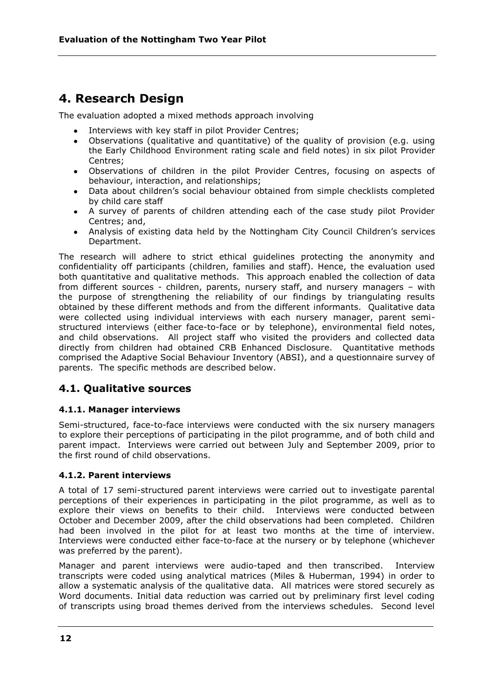# **4. Research Design**

The evaluation adopted a mixed methods approach involving

- Interviews with key staff in pilot Provider Centres;
- Observations (qualitative and quantitative) of the quality of provision (e.g. using the Early Childhood Environment rating scale and field notes) in six pilot Provider Centres;
- Observations of children in the pilot Provider Centres, focusing on aspects of behaviour, interaction, and relationships;
- Data about children's social behaviour obtained from simple checklists completed by child care staff
- A survey of parents of children attending each of the case study pilot Provider Centres; and,
- Analysis of existing data held by the Nottingham City Council Children's services Department.

The research will adhere to strict ethical guidelines protecting the anonymity and confidentiality off participants (children, families and staff). Hence, the evaluation used both quantitative and qualitative methods. This approach enabled the collection of data from different sources - children, parents, nursery staff, and nursery managers – with the purpose of strengthening the reliability of our findings by triangulating results obtained by these different methods and from the different informants. Qualitative data were collected using individual interviews with each nursery manager, parent semistructured interviews (either face-to-face or by telephone), environmental field notes, and child observations. All project staff who visited the providers and collected data directly from children had obtained CRB Enhanced Disclosure. Quantitative methods comprised the Adaptive Social Behaviour Inventory (ABSI), and a questionnaire survey of parents. The specific methods are described below.

# **4.1. Qualitative sources**

## **4.1.1. Manager interviews**

Semi-structured, face-to-face interviews were conducted with the six nursery managers to explore their perceptions of participating in the pilot programme, and of both child and parent impact. Interviews were carried out between July and September 2009, prior to the first round of child observations.

## **4.1.2. Parent interviews**

A total of 17 semi-structured parent interviews were carried out to investigate parental perceptions of their experiences in participating in the pilot programme, as well as to explore their views on benefits to their child. Interviews were conducted between October and December 2009, after the child observations had been completed. Children had been involved in the pilot for at least two months at the time of interview. Interviews were conducted either face-to-face at the nursery or by telephone (whichever was preferred by the parent).

Manager and parent interviews were audio-taped and then transcribed. Interview transcripts were coded using analytical matrices (Miles & Huberman, 1994) in order to allow a systematic analysis of the qualitative data. All matrices were stored securely as Word documents. Initial data reduction was carried out by preliminary first level coding of transcripts using broad themes derived from the interviews schedules. Second level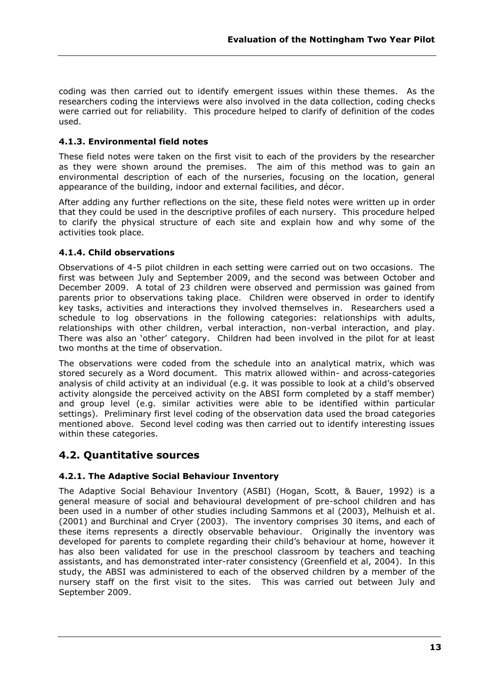coding was then carried out to identify emergent issues within these themes. As the researchers coding the interviews were also involved in the data collection, coding checks were carried out for reliability. This procedure helped to clarify of definition of the codes used.

## **4.1.3. Environmental field notes**

These field notes were taken on the first visit to each of the providers by the researcher as they were shown around the premises. The aim of this method was to gain an environmental description of each of the nurseries, focusing on the location, general appearance of the building, indoor and external facilities, and décor.

After adding any further reflections on the site, these field notes were written up in order that they could be used in the descriptive profiles of each nursery. This procedure helped to clarify the physical structure of each site and explain how and why some of the activities took place.

## **4.1.4. Child observations**

Observations of 4-5 pilot children in each setting were carried out on two occasions. The first was between July and September 2009, and the second was between October and December 2009. A total of 23 children were observed and permission was gained from parents prior to observations taking place. Children were observed in order to identify key tasks, activities and interactions they involved themselves in. Researchers used a schedule to log observations in the following categories: relationships with adults, relationships with other children, verbal interaction, non-verbal interaction, and play. There was also an 'other' category. Children had been involved in the pilot for at least two months at the time of observation.

The observations were coded from the schedule into an analytical matrix, which was stored securely as a Word document. This matrix allowed within- and across-categories analysis of child activity at an individual (e.g. it was possible to look at a child's observed activity alongside the perceived activity on the ABSI form completed by a staff member) and group level (e.g. similar activities were able to be identified within particular settings). Preliminary first level coding of the observation data used the broad categories mentioned above. Second level coding was then carried out to identify interesting issues within these categories.

# **4.2. Quantitative sources**

## **4.2.1. The Adaptive Social Behaviour Inventory**

The Adaptive Social Behaviour Inventory (ASBI) (Hogan, Scott, & Bauer, 1992) is a general measure of social and behavioural development of pre-school children and has been used in a number of other studies including Sammons et al (2003), Melhuish et al. (2001) and Burchinal and Cryer (2003). The inventory comprises 30 items, and each of these items represents a directly observable behaviour. Originally the inventory was developed for parents to complete regarding their child's behaviour at home, however it has also been validated for use in the preschool classroom by teachers and teaching assistants, and has demonstrated inter-rater consistency (Greenfield et al, 2004). In this study, the ABSI was administered to each of the observed children by a member of the nursery staff on the first visit to the sites. This was carried out between July and September 2009.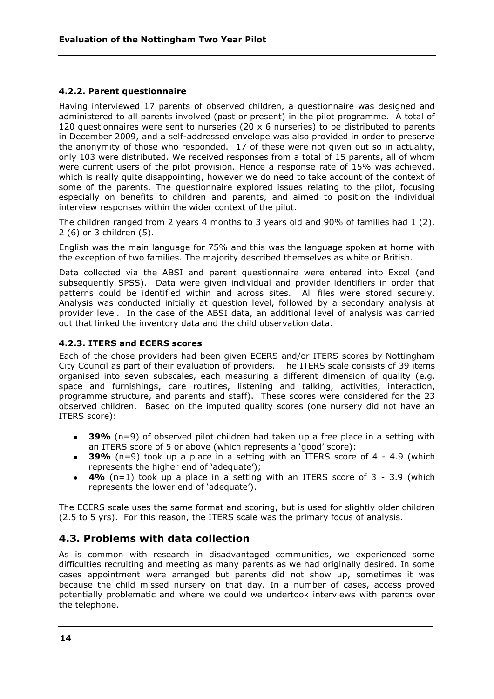## **4.2.2. Parent questionnaire**

Having interviewed 17 parents of observed children, a questionnaire was designed and administered to all parents involved (past or present) in the pilot programme. A total of 120 questionnaires were sent to nurseries (20  $\times$  6 nurseries) to be distributed to parents in December 2009, and a self-addressed envelope was also provided in order to preserve the anonymity of those who responded. 17 of these were not given out so in actuality, only 103 were distributed. We received responses from a total of 15 parents, all of whom were current users of the pilot provision. Hence a response rate of 15% was achieved, which is really quite disappointing, however we do need to take account of the context of some of the parents. The questionnaire explored issues relating to the pilot, focusing especially on benefits to children and parents, and aimed to position the individual interview responses within the wider context of the pilot.

The children ranged from 2 years 4 months to 3 years old and 90% of families had 1 (2), 2 (6) or 3 children (5).

English was the main language for 75% and this was the language spoken at home with the exception of two families. The majority described themselves as white or British.

Data collected via the ABSI and parent questionnaire were entered into Excel (and subsequently SPSS). Data were given individual and provider identifiers in order that patterns could be identified within and across sites. All files were stored securely. Analysis was conducted initially at question level, followed by a secondary analysis at provider level. In the case of the ABSI data, an additional level of analysis was carried out that linked the inventory data and the child observation data.

## **4.2.3. ITERS and ECERS scores**

Each of the chose providers had been given ECERS and/or ITERS scores by Nottingham City Council as part of their evaluation of providers. The ITERS scale consists of 39 items organised into seven subscales, each measuring a different dimension of quality (e.g. space and furnishings, care routines, listening and talking, activities, interaction, programme structure, and parents and staff). These scores were considered for the 23 observed children. Based on the imputed quality scores (one nursery did not have an ITERS score):

- **39%** (n=9) of observed pilot children had taken up a free place in a setting with  $\bullet$ an ITERS score of 5 or above (which represents a 'good' score):
- **39%** (n=9) took up a place in a setting with an ITERS score of 4 4.9 (which represents the higher end of 'adequate');
- **4%** (n=1) took up a place in a setting with an ITERS score of 3 3.9 (which represents the lower end of 'adequate').

The ECERS scale uses the same format and scoring, but is used for slightly older children (2.5 to 5 yrs). For this reason, the ITERS scale was the primary focus of analysis.

# **4.3. Problems with data collection**

As is common with research in disadvantaged communities, we experienced some difficulties recruiting and meeting as many parents as we had originally desired. In some cases appointment were arranged but parents did not show up, sometimes it was because the child missed nursery on that day. In a number of cases, access proved potentially problematic and where we could we undertook interviews with parents over the telephone.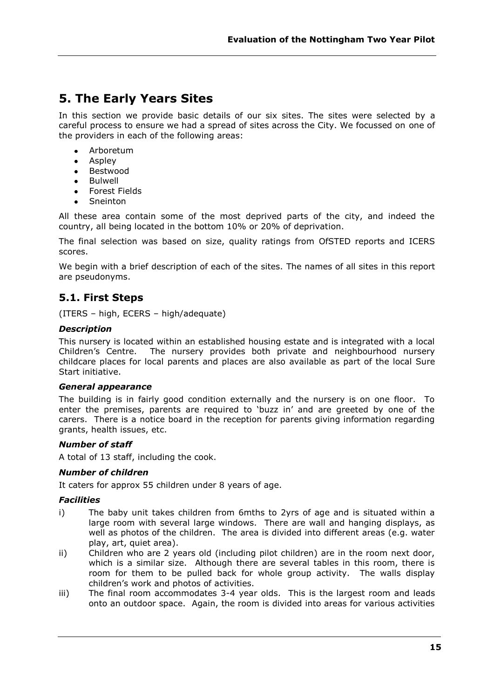# **5. The Early Years Sites**

In this section we provide basic details of our six sites. The sites were selected by a careful process to ensure we had a spread of sites across the City. We focussed on one of the providers in each of the following areas:

- Arboretum  $\bullet$
- Aspley
- Bestwood
- Bulwell
- Forest Fields
- Sneinton

All these area contain some of the most deprived parts of the city, and indeed the country, all being located in the bottom 10% or 20% of deprivation.

The final selection was based on size, quality ratings from OfSTED reports and ICERS scores.

We begin with a brief description of each of the sites. The names of all sites in this report are pseudonyms.

# **5.1. First Steps**

(ITERS – high, ECERS – high/adequate)

## *Description*

This nursery is located within an established housing estate and is integrated with a local Children's Centre. The nursery provides both private and neighbourhood nursery childcare places for local parents and places are also available as part of the local Sure Start initiative.

#### *General appearance*

The building is in fairly good condition externally and the nursery is on one floor. To enter the premises, parents are required to 'buzz in' and are greeted by one of the carers. There is a notice board in the reception for parents giving information regarding grants, health issues, etc.

#### *Number of staff*

A total of 13 staff, including the cook.

#### *Number of children*

It caters for approx 55 children under 8 years of age.

#### *Facilities*

- i) The baby unit takes children from 6mths to 2yrs of age and is situated within a large room with several large windows. There are wall and hanging displays, as well as photos of the children. The area is divided into different areas (e.g. water play, art, quiet area).
- ii) Children who are 2 years old (including pilot children) are in the room next door, which is a similar size. Although there are several tables in this room, there is room for them to be pulled back for whole group activity. The walls display children's work and photos of activities.
- iii) The final room accommodates 3-4 year olds. This is the largest room and leads onto an outdoor space. Again, the room is divided into areas for various activities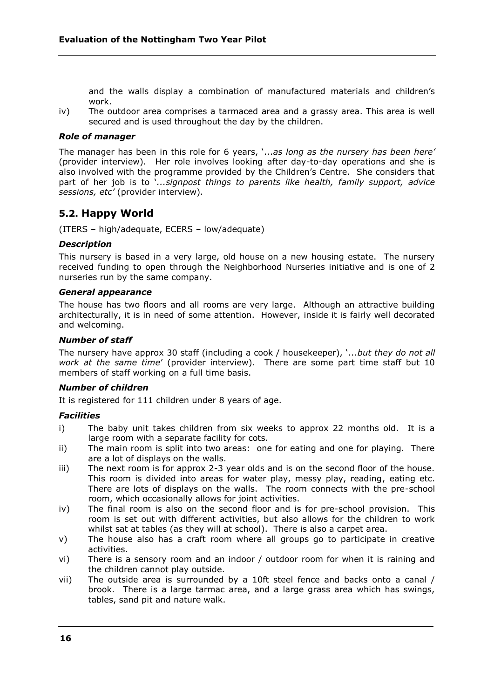and the walls display a combination of manufactured materials and children's work.

iv) The outdoor area comprises a tarmaced area and a grassy area. This area is well secured and is used throughout the day by the children.

#### *Role of manager*

The manager has been in this role for 6 years, '...as long as the nursery has been here' (provider interview)*.* Her role involves looking after day-to-day operations and she is also involved with the programme provided by the Children's Centre. She considers that part of her job is to *`...signpost things to parents like health, family support, advice sessions, etc'* (provider interview)*.*

## **5.2. Happy World**

(ITERS – high/adequate, ECERS – low/adequate)

#### *Description*

This nursery is based in a very large, old house on a new housing estate. The nursery received funding to open through the Neighborhood Nurseries initiative and is one of 2 nurseries run by the same company.

#### *General appearance*

The house has two floors and all rooms are very large. Although an attractive building architecturally, it is in need of some attention. However, inside it is fairly well decorated and welcoming.

#### *Number of staff*

The nursery have approx 30 staff (including a cook / housekeeper), *'...but they do not all work at the same time*' (provider interview). There are some part time staff but 10 members of staff working on a full time basis.

#### *Number of children*

It is registered for 111 children under 8 years of age.

#### *Facilities*

- i) The baby unit takes children from six weeks to approx 22 months old. It is a large room with a separate facility for cots.
- ii) The main room is split into two areas: one for eating and one for playing. There are a lot of displays on the walls.
- iii) The next room is for approx 2-3 year olds and is on the second floor of the house. This room is divided into areas for water play, messy play, reading, eating etc. There are lots of displays on the walls. The room connects with the pre-school room, which occasionally allows for joint activities.
- iv) The final room is also on the second floor and is for pre-school provision. This room is set out with different activities, but also allows for the children to work whilst sat at tables (as they will at school). There is also a carpet area.
- v) The house also has a craft room where all groups go to participate in creative activities.
- vi) There is a sensory room and an indoor / outdoor room for when it is raining and the children cannot play outside.
- vii) The outside area is surrounded by a 10ft steel fence and backs onto a canal / brook. There is a large tarmac area, and a large grass area which has swings, tables, sand pit and nature walk.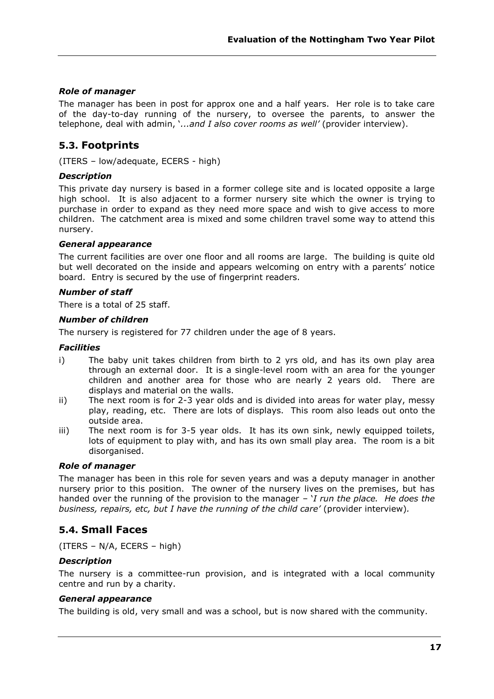## *Role of manager*

The manager has been in post for approx one and a half years. Her role is to take care of the day-to-day running of the nursery, to oversee the parents, to answer the telephone, deal with admin, ‗*...and I also cover rooms as well'* (provider interview).

# **5.3. Footprints**

(ITERS – low/adequate, ECERS - high)

#### *Description*

This private day nursery is based in a former college site and is located opposite a large high school. It is also adjacent to a former nursery site which the owner is trying to purchase in order to expand as they need more space and wish to give access to more children. The catchment area is mixed and some children travel some way to attend this nursery.

#### *General appearance*

The current facilities are over one floor and all rooms are large. The building is quite old but well decorated on the inside and appears welcoming on entry with a parents' notice board. Entry is secured by the use of fingerprint readers.

#### *Number of staff*

There is a total of 25 staff.

#### *Number of children*

The nursery is registered for 77 children under the age of 8 years.

#### *Facilities*

- i) The baby unit takes children from birth to 2 yrs old, and has its own play area through an external door. It is a single-level room with an area for the younger children and another area for those who are nearly 2 years old. There are displays and material on the walls.
- ii) The next room is for 2-3 year olds and is divided into areas for water play, messy play, reading, etc. There are lots of displays. This room also leads out onto the outside area.
- iii) The next room is for 3-5 year olds. It has its own sink, newly equipped toilets, lots of equipment to play with, and has its own small play area. The room is a bit disorganised.

#### *Role of manager*

The manager has been in this role for seven years and was a deputy manager in another nursery prior to this position. The owner of the nursery lives on the premises, but has handed over the running of the provision to the manager – *I run the place. He does the business, repairs, etc, but I have the running of the child care'* (provider interview)*.*

# **5.4. Small Faces**

(ITERS – N/A, ECERS – high)

#### *Description*

The nursery is a committee-run provision, and is integrated with a local community centre and run by a charity.

#### *General appearance*

The building is old, very small and was a school, but is now shared with the community.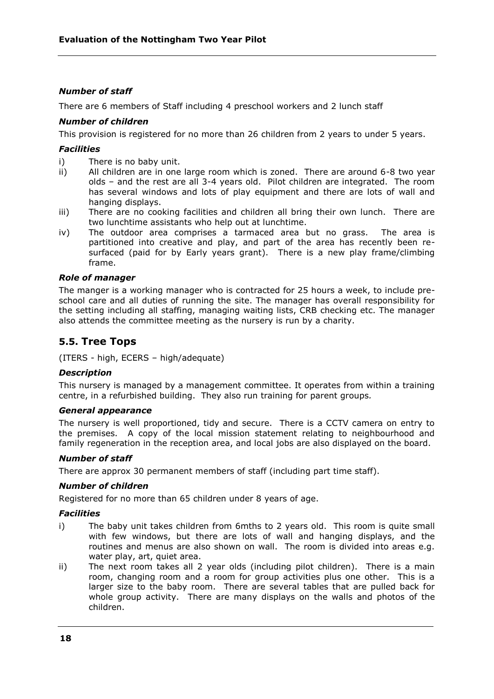## *Number of staff*

There are 6 members of Staff including 4 preschool workers and 2 lunch staff

### *Number of children*

This provision is registered for no more than 26 children from 2 years to under 5 years.

#### *Facilities*

- i) There is no baby unit.
- ii) All children are in one large room which is zoned. There are around 6-8 two year olds – and the rest are all 3-4 years old. Pilot children are integrated. The room has several windows and lots of play equipment and there are lots of wall and hanging displays.
- iii) There are no cooking facilities and children all bring their own lunch. There are two lunchtime assistants who help out at lunchtime.
- iv) The outdoor area comprises a tarmaced area but no grass. The area is partitioned into creative and play, and part of the area has recently been resurfaced (paid for by Early years grant). There is a new play frame/climbing frame.

#### *Role of manager*

The manger is a working manager who is contracted for 25 hours a week, to include preschool care and all duties of running the site. The manager has overall responsibility for the setting including all staffing, managing waiting lists, CRB checking etc. The manager also attends the committee meeting as the nursery is run by a charity.

# **5.5. Tree Tops**

(ITERS - high, ECERS – high/adequate)

#### *Description*

This nursery is managed by a management committee. It operates from within a training centre, in a refurbished building. They also run training for parent groups*.*

#### *General appearance*

The nursery is well proportioned, tidy and secure. There is a CCTV camera on entry to the premises. A copy of the local mission statement relating to neighbourhood and family regeneration in the reception area, and local jobs are also displayed on the board.

## *Number of staff*

There are approx 30 permanent members of staff (including part time staff).

#### *Number of children*

Registered for no more than 65 children under 8 years of age.

#### *Facilities*

- i) The baby unit takes children from 6mths to 2 years old. This room is quite small with few windows, but there are lots of wall and hanging displays, and the routines and menus are also shown on wall. The room is divided into areas e.g. water play, art, quiet area.
- ii) The next room takes all 2 year olds (including pilot children). There is a main room, changing room and a room for group activities plus one other. This is a larger size to the baby room. There are several tables that are pulled back for whole group activity. There are many displays on the walls and photos of the children.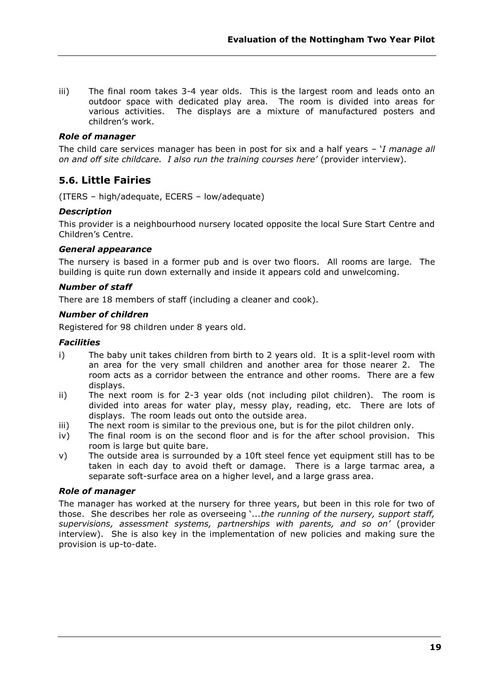iii) The final room takes 3-4 year olds. This is the largest room and leads onto an outdoor space with dedicated play area. The room is divided into areas for various activities. The displays are a mixture of manufactured posters and children's work.

### *Role of manager*

The child care services manager has been in post for six and a half years – *'I manage all on and off site childcare. I also run the training courses here'* (provider interview).

# **5.6. Little Fairies**

(ITERS – high/adequate, ECERS – low/adequate)

#### *Description*

This provider is a neighbourhood nursery located opposite the local Sure Start Centre and Children's Centre.

#### *General appearance*

The nursery is based in a former pub and is over two floors. All rooms are large. The building is quite run down externally and inside it appears cold and unwelcoming.

#### *Number of staff*

There are 18 members of staff (including a cleaner and cook).

#### *Number of children*

Registered for 98 children under 8 years old.

#### *Facilities*

- i) The baby unit takes children from birth to 2 years old. It is a split-level room with an area for the very small children and another area for those nearer 2. The room acts as a corridor between the entrance and other rooms. There are a few displays.
- ii) The next room is for 2-3 year olds (not including pilot children). The room is divided into areas for water play, messy play, reading, etc. There are lots of displays. The room leads out onto the outside area.
- iii) The next room is similar to the previous one, but is for the pilot children only.
- iv) The final room is on the second floor and is for the after school provision. This room is large but quite bare.
- v) The outside area is surrounded by a 10ft steel fence yet equipment still has to be taken in each day to avoid theft or damage. There is a large tarmac area, a separate soft-surface area on a higher level, and a large grass area.

#### *Role of manager*

The manager has worked at the nursery for three years, but been in this role for two of those. She describes her role as overseeing *'...the running of the nursery, support staff, supervisions, assessment systems, partnerships with parents, and so on'* (provider interview). She is also key in the implementation of new policies and making sure the provision is up-to-date.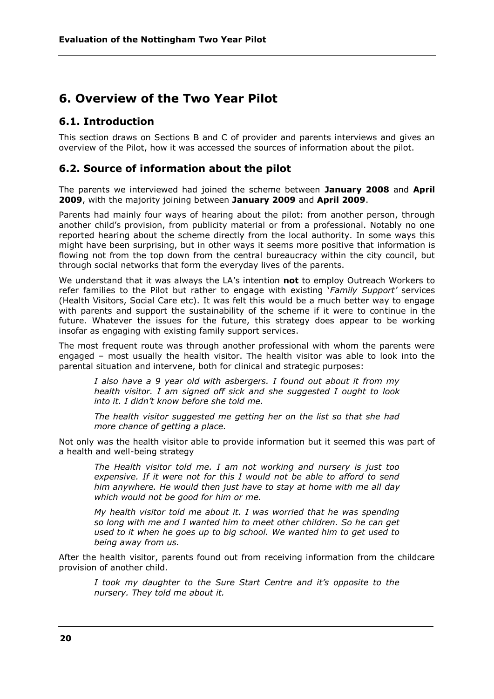# **6. Overview of the Two Year Pilot**

# **6.1. Introduction**

This section draws on Sections B and C of provider and parents interviews and gives an overview of the Pilot, how it was accessed the sources of information about the pilot.

# **6.2. Source of information about the pilot**

The parents we interviewed had joined the scheme between **January 2008** and **April 2009**, with the majority joining between **January 2009** and **April 2009**.

Parents had mainly four ways of hearing about the pilot: from another person, through another child's provision, from publicity material or from a professional. Notably no one reported hearing about the scheme directly from the local authority. In some ways this might have been surprising, but in other ways it seems more positive that information is flowing not from the top down from the central bureaucracy within the city council, but through social networks that form the everyday lives of the parents.

We understand that it was always the LA's intention **not** to employ Outreach Workers to refer families to the Pilot but rather to engage with existing *`Family Support'* services (Health Visitors, Social Care etc). It was felt this would be a much better way to engage with parents and support the sustainability of the scheme if it were to continue in the future. Whatever the issues for the future, this strategy does appear to be working insofar as engaging with existing family support services.

The most frequent route was through another professional with whom the parents were engaged – most usually the health visitor. The health visitor was able to look into the parental situation and intervene, both for clinical and strategic purposes:

*I also have a 9 year old with asbergers. I found out about it from my health visitor. I am signed off sick and she suggested I ought to look into it. I didn't know before she told me.*

*The health visitor suggested me getting her on the list so that she had more chance of getting a place.*

Not only was the health visitor able to provide information but it seemed this was part of a health and well-being strategy

*The Health visitor told me. I am not working and nursery is just too expensive. If it were not for this I would not be able to afford to send him anywhere. He would then just have to stay at home with me all day which would not be good for him or me.*

*My health visitor told me about it. I was worried that he was spending so long with me and I wanted him to meet other children. So he can get used to it when he goes up to big school. We wanted him to get used to being away from us.*

After the health visitor, parents found out from receiving information from the childcare provision of another child.

*I took my daughter to the Sure Start Centre and it's opposite to the nursery. They told me about it.*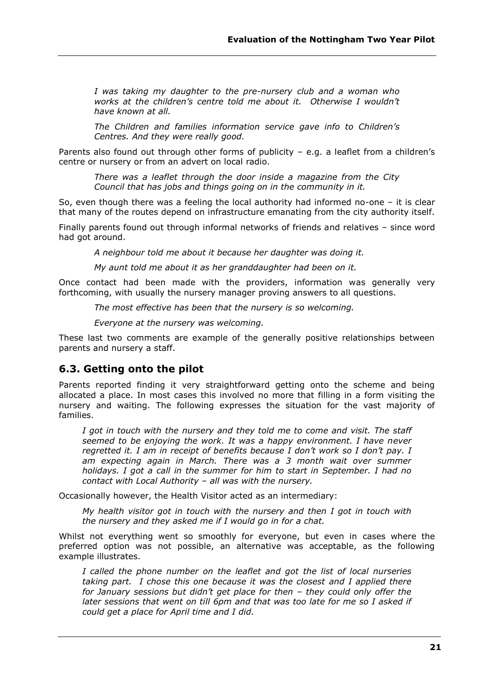*I was taking my daughter to the pre-nursery club and a woman who works at the children's centre told me about it. Otherwise I wouldn't have known at all.*

*The Children and families information service gave info to Children's Centres. And they were really good.*

Parents also found out through other forms of publicity - e.g. a leaflet from a children's centre or nursery or from an advert on local radio.

*There was a leaflet through the door inside a magazine from the City Council that has jobs and things going on in the community in it.*

So, even though there was a feeling the local authority had informed no-one – it is clear that many of the routes depend on infrastructure emanating from the city authority itself.

Finally parents found out through informal networks of friends and relatives – since word had got around.

*A neighbour told me about it because her daughter was doing it.*

*My aunt told me about it as her granddaughter had been on it.*

Once contact had been made with the providers, information was generally very forthcoming, with usually the nursery manager proving answers to all questions.

*The most effective has been that the nursery is so welcoming.*

*Everyone at the nursery was welcoming.*

These last two comments are example of the generally positive relationships between parents and nursery a staff.

## **6.3. Getting onto the pilot**

Parents reported finding it very straightforward getting onto the scheme and being allocated a place. In most cases this involved no more that filling in a form visiting the nursery and waiting. The following expresses the situation for the vast majority of families.

*I got in touch with the nursery and they told me to come and visit. The staff seemed to be enjoying the work. It was a happy environment. I have never regretted it. I am in receipt of benefits because I don't work so I don't pay. I am expecting again in March. There was a 3 month wait over summer holidays. I got a call in the summer for him to start in September. I had no contact with Local Authority – all was with the nursery.* 

Occasionally however, the Health Visitor acted as an intermediary:

*My health visitor got in touch with the nursery and then I got in touch with the nursery and they asked me if I would go in for a chat.*

Whilst not everything went so smoothly for everyone, but even in cases where the preferred option was not possible, an alternative was acceptable, as the following example illustrates.

*I called the phone number on the leaflet and got the list of local nurseries taking part. I chose this one because it was the closest and I applied there for January sessions but didn't get place for then – they could only offer the later sessions that went on till 6pm and that was too late for me so I asked if could get a place for April time and I did.*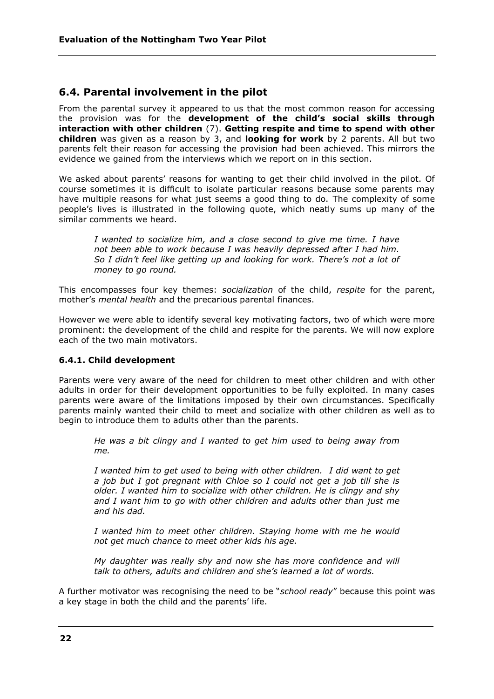# **6.4. Parental involvement in the pilot**

From the parental survey it appeared to us that the most common reason for accessing the provision was for the **development of the child's social skills through interaction with other children** (7). **Getting respite and time to spend with other children** was given as a reason by 3, and **looking for work** by 2 parents. All but two parents felt their reason for accessing the provision had been achieved. This mirrors the evidence we gained from the interviews which we report on in this section.

We asked about parents' reasons for wanting to get their child involved in the pilot. Of course sometimes it is difficult to isolate particular reasons because some parents may have multiple reasons for what just seems a good thing to do. The complexity of some people's lives is illustrated in the following quote, which neatly sums up many of the similar comments we heard.

*I wanted to socialize him, and a close second to give me time. I have not been able to work because I was heavily depressed after I had him. So I didn't feel like getting up and looking for work. There's not a lot of money to go round.* 

This encompasses four key themes: *socialization* of the child, *respite* for the parent, mother's *mental health* and the precarious parental finances.

However we were able to identify several key motivating factors, two of which were more prominent: the development of the child and respite for the parents. We will now explore each of the two main motivators.

#### **6.4.1. Child development**

Parents were very aware of the need for children to meet other children and with other adults in order for their development opportunities to be fully exploited. In many cases parents were aware of the limitations imposed by their own circumstances. Specifically parents mainly wanted their child to meet and socialize with other children as well as to begin to introduce them to adults other than the parents.

*He was a bit clingy and I wanted to get him used to being away from me.*

*I wanted him to get used to being with other children. I did want to get a job but I got pregnant with Chloe so I could not get a job till she is older. I wanted him to socialize with other children. He is clingy and shy and I want him to go with other children and adults other than just me and his dad.*

*I wanted him to meet other children. Staying home with me he would not get much chance to meet other kids his age.*

*My daughter was really shy and now she has more confidence and will talk to others, adults and children and she's learned a lot of words.* 

A further motivator was recognising the need to be "school ready" because this point was a key stage in both the child and the parents' life.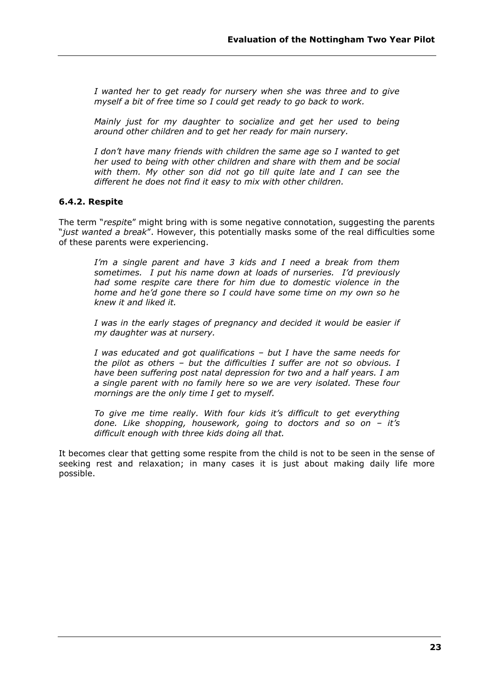*I wanted her to get ready for nursery when she was three and to give myself a bit of free time so I could get ready to go back to work.* 

*Mainly just for my daughter to socialize and get her used to being around other children and to get her ready for main nursery.*

*I don't have many friends with children the same age so I wanted to get her used to being with other children and share with them and be social with them. My other son did not go till quite late and I can see the different he does not find it easy to mix with other children.* 

#### **6.4.2. Respite**

The term "respite" might bring with is some negative connotation, suggesting the parents ―*just wanted a break*‖. However, this potentially masks some of the real difficulties some of these parents were experiencing.

*I'm a single parent and have 3 kids and I need a break from them sometimes. I put his name down at loads of nurseries. I'd previously had some respite care there for him due to domestic violence in the home and he'd gone there so I could have some time on my own so he knew it and liked it.*

*I was in the early stages of pregnancy and decided it would be easier if my daughter was at nursery.*

*I was educated and got qualifications – but I have the same needs for the pilot as others – but the difficulties I suffer are not so obvious. I have been suffering post natal depression for two and a half years. I am a single parent with no family here so we are very isolated. These four mornings are the only time I get to myself.*

*To give me time really. With four kids it's difficult to get everything done. Like shopping, housework, going to doctors and so on – it's difficult enough with three kids doing all that.*

It becomes clear that getting some respite from the child is not to be seen in the sense of seeking rest and relaxation; in many cases it is just about making daily life more possible.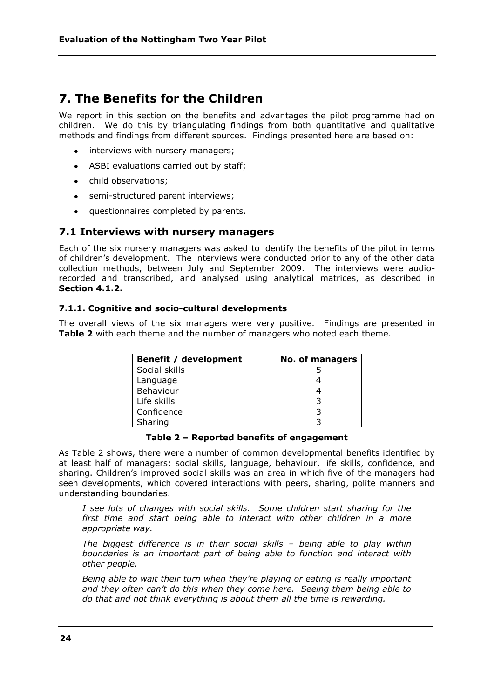# **7. The Benefits for the Children**

We report in this section on the benefits and advantages the pilot programme had on children. We do this by triangulating findings from both quantitative and qualitative methods and findings from different sources. Findings presented here are based on:

- interviews with nursery managers;
- ASBI evaluations carried out by staff;
- child observations:
- semi-structured parent interviews;
- questionnaires completed by parents.  $\bullet$

# **7.1 Interviews with nursery managers**

Each of the six nursery managers was asked to identify the benefits of the pilot in terms of children's development. The interviews were conducted prior to any of the other data collection methods, between July and September 2009. The interviews were audiorecorded and transcribed, and analysed using analytical matrices, as described in **Section 4.1.2.**

#### **7.1.1. Cognitive and socio-cultural developments**

The overall views of the six managers were very positive. Findings are presented in **Table 2** with each theme and the number of managers who noted each theme.

| <b>Benefit / development</b> | <b>No. of managers</b> |
|------------------------------|------------------------|
| Social skills                |                        |
| Language                     |                        |
| Behaviour                    |                        |
| Life skills                  |                        |
| Confidence                   |                        |
| Sharing                      |                        |

#### **Table 2 – Reported benefits of engagement**

As Table 2 shows, there were a number of common developmental benefits identified by at least half of managers: social skills, language, behaviour, life skills, confidence, and sharing. Children's improved social skills was an area in which five of the managers had seen developments, which covered interactions with peers, sharing, polite manners and understanding boundaries.

*I see lots of changes with social skills. Some children start sharing for the first time and start being able to interact with other children in a more appropriate way.*

*The biggest difference is in their social skills – being able to play within boundaries is an important part of being able to function and interact with other people.*

*Being able to wait their turn when they're playing or eating is really important and they often can't do this when they come here. Seeing them being able to do that and not think everything is about them all the time is rewarding.*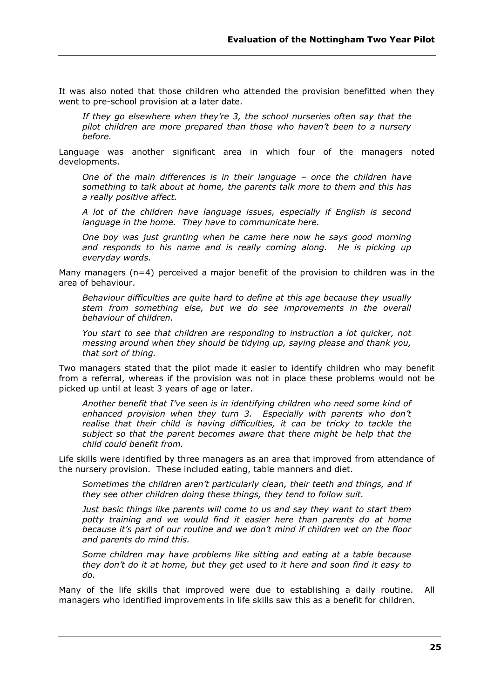It was also noted that those children who attended the provision benefitted when they went to pre-school provision at a later date.

*If they go elsewhere when they're 3, the school nurseries often say that the pilot children are more prepared than those who haven't been to a nursery before.*

Language was another significant area in which four of the managers noted developments.

*One of the main differences is in their language – once the children have something to talk about at home, the parents talk more to them and this has a really positive affect.*

*A lot of the children have language issues, especially if English is second language in the home. They have to communicate here.*

*One boy was just grunting when he came here now he says good morning and responds to his name and is really coming along. He is picking up everyday words.*

Many managers  $(n=4)$  perceived a major benefit of the provision to children was in the area of behaviour.

*Behaviour difficulties are quite hard to define at this age because they usually stem from something else, but we do see improvements in the overall behaviour of children.*

*You start to see that children are responding to instruction a lot quicker, not messing around when they should be tidying up, saying please and thank you, that sort of thing.*

Two managers stated that the pilot made it easier to identify children who may benefit from a referral, whereas if the provision was not in place these problems would not be picked up until at least 3 years of age or later.

*Another benefit that I've seen is in identifying children who need some kind of enhanced provision when they turn 3. Especially with parents who don't*  realise that their child is having difficulties, it can be tricky to tackle the *subject so that the parent becomes aware that there might be help that the child could benefit from.*

Life skills were identified by three managers as an area that improved from attendance of the nursery provision. These included eating, table manners and diet.

*Sometimes the children aren't particularly clean, their teeth and things, and if they see other children doing these things, they tend to follow suit.*

*Just basic things like parents will come to us and say they want to start them potty training and we would find it easier here than parents do at home because it's part of our routine and we don't mind if children wet on the floor and parents do mind this.*

*Some children may have problems like sitting and eating at a table because they don't do it at home, but they get used to it here and soon find it easy to do.*

Many of the life skills that improved were due to establishing a daily routine. All managers who identified improvements in life skills saw this as a benefit for children.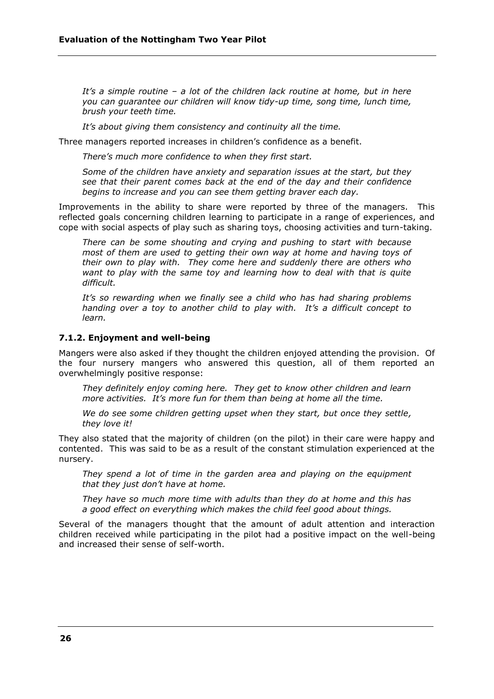*It's a simple routine – a lot of the children lack routine at home, but in here you can guarantee our children will know tidy-up time, song time, lunch time, brush your teeth time.*

*It's about giving them consistency and continuity all the time.* 

Three managers reported increases in children's confidence as a benefit.

*There's much more confidence to when they first start.*

*Some of the children have anxiety and separation issues at the start, but they see that their parent comes back at the end of the day and their confidence begins to increase and you can see them getting braver each day.* 

Improvements in the ability to share were reported by three of the managers. This reflected goals concerning children learning to participate in a range of experiences, and cope with social aspects of play such as sharing toys, choosing activities and turn-taking.

*There can be some shouting and crying and pushing to start with because most of them are used to getting their own way at home and having toys of their own to play with. They come here and suddenly there are others who want to play with the same toy and learning how to deal with that is quite difficult.* 

*It's so rewarding when we finally see a child who has had sharing problems handing over a toy to another child to play with. It's a difficult concept to learn.* 

#### **7.1.2. Enjoyment and well-being**

Mangers were also asked if they thought the children enjoyed attending the provision. Of the four nursery mangers who answered this question, all of them reported an overwhelmingly positive response:

*They definitely enjoy coming here. They get to know other children and learn more activities. It's more fun for them than being at home all the time.*

*We do see some children getting upset when they start, but once they settle, they love it!*

They also stated that the majority of children (on the pilot) in their care were happy and contented. This was said to be as a result of the constant stimulation experienced at the nursery.

*They spend a lot of time in the garden area and playing on the equipment that they just don't have at home.*

*They have so much more time with adults than they do at home and this has a good effect on everything which makes the child feel good about things.*

Several of the managers thought that the amount of adult attention and interaction children received while participating in the pilot had a positive impact on the well-being and increased their sense of self-worth.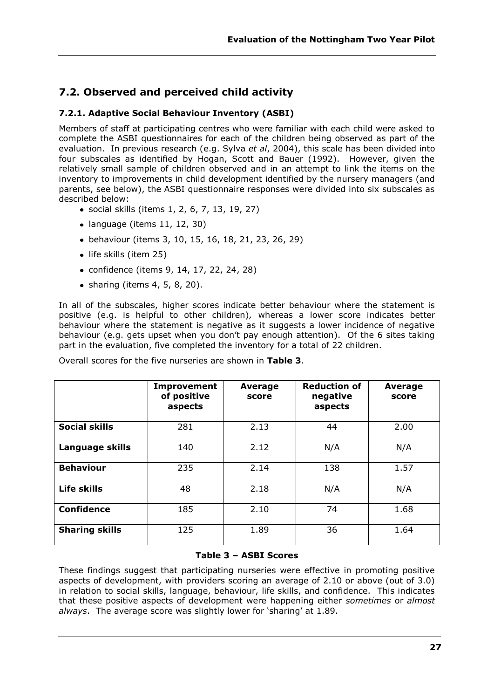# **7.2. Observed and perceived child activity**

# **7.2.1. Adaptive Social Behaviour Inventory (ASBI)**

Members of staff at participating centres who were familiar with each child were asked to complete the ASBI questionnaires for each of the children being observed as part of the evaluation. In previous research (e.g. Sylva *et al*, 2004), this scale has been divided into four subscales as identified by Hogan, Scott and Bauer (1992). However, given the relatively small sample of children observed and in an attempt to link the items on the inventory to improvements in child development identified by the nursery managers (and parents, see below), the ASBI questionnaire responses were divided into six subscales as described below:

- social skills (items 1, 2, 6, 7, 13, 19, 27)
- $\bullet$  language (items 11, 12, 30)
- behaviour (items 3, 10, 15, 16, 18, 21, 23, 26, 29)
- life skills (item 25)
- confidence (items 9, 14, 17, 22, 24, 28)
- $\bullet$  sharing (items 4, 5, 8, 20).

In all of the subscales, higher scores indicate better behaviour where the statement is positive (e.g. is helpful to other children)*,* whereas a lower score indicates better behaviour where the statement is negative as it suggests a lower incidence of negative behaviour (e.g. gets upset when you don't pay enough attention). Of the 6 sites taking part in the evaluation, five completed the inventory for a total of 22 children.

|                       | Improvement<br>of positive<br>aspects | Average<br>score | <b>Reduction of</b><br>negative<br>aspects | Average<br>score |
|-----------------------|---------------------------------------|------------------|--------------------------------------------|------------------|
| <b>Social skills</b>  | 281                                   | 2.13             | 44                                         | 2.00             |
| Language skills       | 140                                   | 2.12             | N/A                                        | N/A              |
| <b>Behaviour</b>      | 235                                   | 2.14             | 138                                        | 1.57             |
| Life skills           | 48                                    | 2.18             | N/A                                        | N/A              |
| <b>Confidence</b>     | 185                                   | 2.10             | 74                                         | 1.68             |
| <b>Sharing skills</b> | 125                                   | 1.89             | 36                                         | 1.64             |

Overall scores for the five nurseries are shown in **Table 3**.

## **Table 3 – ASBI Scores**

These findings suggest that participating nurseries were effective in promoting positive aspects of development, with providers scoring an average of 2.10 or above (out of 3.0) in relation to social skills, language, behaviour, life skills, and confidence. This indicates that these positive aspects of development were happening either *sometimes* or *almost*  always. The average score was slightly lower for 'sharing' at 1.89.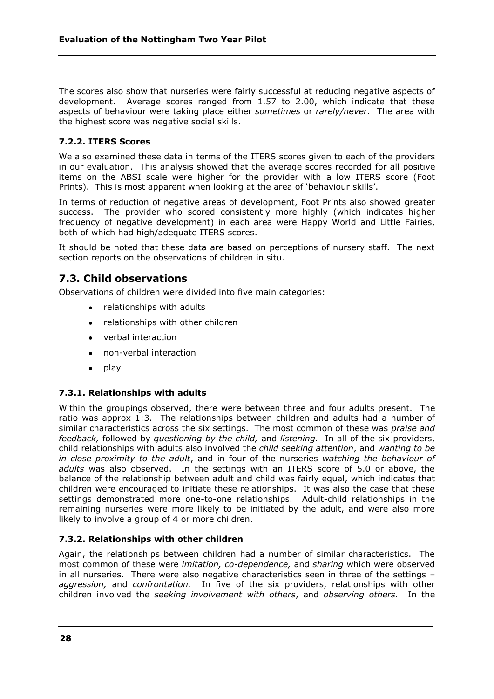The scores also show that nurseries were fairly successful at reducing negative aspects of development. Average scores ranged from 1.57 to 2.00, which indicate that these aspects of behaviour were taking place either *sometimes* or *rarely/never.* The area with the highest score was negative social skills.

## **7.2.2. ITERS Scores**

We also examined these data in terms of the ITERS scores given to each of the providers in our evaluation. This analysis showed that the average scores recorded for all positive items on the ABSI scale were higher for the provider with a low ITERS score (Foot Prints). This is most apparent when looking at the area of 'behaviour skills'.

In terms of reduction of negative areas of development, Foot Prints also showed greater success. The provider who scored consistently more highly (which indicates higher frequency of negative development) in each area were Happy World and Little Fairies, both of which had high/adequate ITERS scores.

It should be noted that these data are based on perceptions of nursery staff. The next section reports on the observations of children in situ.

# **7.3. Child observations**

Observations of children were divided into five main categories:

- relationships with adults
- relationships with other children
- verbal interaction
- non-verbal interaction
- $\bullet$  play

#### **7.3.1. Relationships with adults**

Within the groupings observed, there were between three and four adults present. The ratio was approx 1:3. The relationships between children and adults had a number of similar characteristics across the six settings. The most common of these was *praise and feedback,* followed by *questioning by the child,* and *listening.* In all of the six providers, child relationships with adults also involved the *child seeking attention*, and *wanting to be in close proximity to the adult*, and in four of the nurseries *watching the behaviour of adults* was also observed. In the settings with an ITERS score of 5.0 or above, the balance of the relationship between adult and child was fairly equal, which indicates that children were encouraged to initiate these relationships. It was also the case that these settings demonstrated more one-to-one relationships. Adult-child relationships in the remaining nurseries were more likely to be initiated by the adult, and were also more likely to involve a group of 4 or more children.

## **7.3.2. Relationships with other children**

Again, the relationships between children had a number of similar characteristics. The most common of these were *imitation, co-dependence,* and *sharing* which were observed in all nurseries. There were also negative characteristics seen in three of the settings – *aggression,* and *confrontation.* In five of the six providers, relationships with other children involved the *seeking involvement with others*, and *observing others.* In the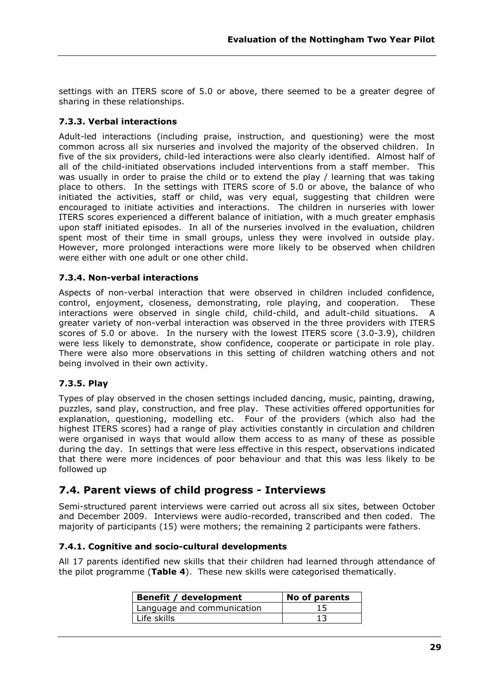settings with an ITERS score of 5.0 or above, there seemed to be a greater degree of sharing in these relationships.

## **7.3.3. Verbal interactions**

Adult-led interactions (including praise, instruction, and questioning) were the most common across all six nurseries and involved the majority of the observed children. In five of the six providers, child-led interactions were also clearly identified. Almost half of all of the child-initiated observations included interventions from a staff member. This was usually in order to praise the child or to extend the play / learning that was taking place to others. In the settings with ITERS score of 5.0 or above, the balance of who initiated the activities, staff or child, was very equal, suggesting that children were encouraged to initiate activities and interactions. The children in nurseries with lower ITERS scores experienced a different balance of initiation, with a much greater emphasis upon staff initiated episodes. In all of the nurseries involved in the evaluation, children spent most of their time in small groups, unless they were involved in outside play. However, more prolonged interactions were more likely to be observed when children were either with one adult or one other child.

## **7.3.4. Non-verbal interactions**

Aspects of non-verbal interaction that were observed in children included confidence, control, enjoyment, closeness, demonstrating, role playing, and cooperation. These interactions were observed in single child, child-child, and adult-child situations. A greater variety of non-verbal interaction was observed in the three providers with ITERS scores of 5.0 or above. In the nursery with the lowest ITERS score (3.0-3.9), children were less likely to demonstrate, show confidence, cooperate or participate in role play. There were also more observations in this setting of children watching others and not being involved in their own activity.

## **7.3.5. Play**

Types of play observed in the chosen settings included dancing, music, painting, drawing, puzzles, sand play, construction, and free play. These activities offered opportunities for explanation, questioning, modelling etc. Four of the providers (which also had the highest ITERS scores) had a range of play activities constantly in circulation and children were organised in ways that would allow them access to as many of these as possible during the day. In settings that were less effective in this respect, observations indicated that there were more incidences of poor behaviour and that this was less likely to be followed up

# **7.4. Parent views of child progress - Interviews**

Semi-structured parent interviews were carried out across all six sites, between October and December 2009. Interviews were audio-recorded, transcribed and then coded. The majority of participants (15) were mothers; the remaining 2 participants were fathers.

## **7.4.1. Cognitive and socio-cultural developments**

All 17 parents identified new skills that their children had learned through attendance of the pilot programme (**Table 4**). These new skills were categorised thematically.

| <b>Benefit / development</b> | No of parents |
|------------------------------|---------------|
| Language and communication   |               |
| Life skills                  |               |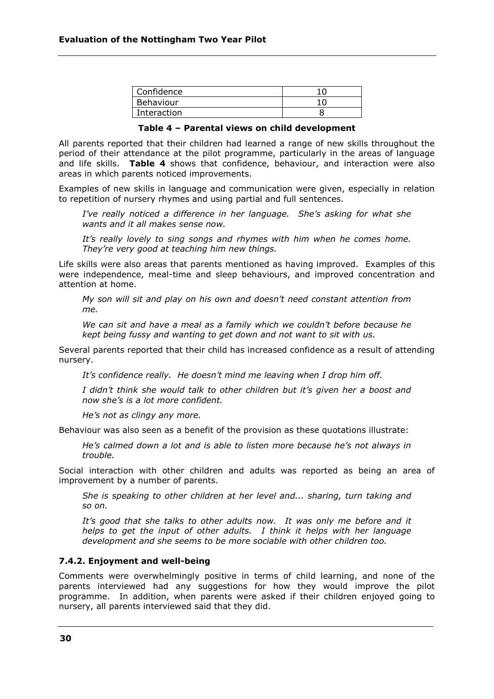| Confidence  |    |
|-------------|----|
| Behaviour   | 10 |
| Interaction |    |

#### **Table 4 – Parental views on child development**

All parents reported that their children had learned a range of new skills throughout the period of their attendance at the pilot programme, particularly in the areas of language and life skills. **Table 4** shows that confidence, behaviour, and interaction were also areas in which parents noticed improvements.

Examples of new skills in language and communication were given, especially in relation to repetition of nursery rhymes and using partial and full sentences.

*I've really noticed a difference in her language. She's asking for what she wants and it all makes sense now.*

*It's really lovely to sing songs and rhymes with him when he comes home. They're very good at teaching him new things.*

Life skills were also areas that parents mentioned as having improved. Examples of this were independence, meal-time and sleep behaviours, and improved concentration and attention at home.

*My son will sit and play on his own and doesn't need constant attention from me.* 

*We can sit and have a meal as a family which we couldn't before because he kept being fussy and wanting to get down and not want to sit with us.*

Several parents reported that their child has increased confidence as a result of attending nursery.

*It's confidence really. He doesn't mind me leaving when I drop him off.*

*I didn't think she would talk to other children but it's given her a boost and now she's is a lot more confident.*

*He's not as clingy any more.* 

Behaviour was also seen as a benefit of the provision as these quotations illustrate:

*He's calmed down a lot and is able to listen more because he's not always in trouble.* 

Social interaction with other children and adults was reported as being an area of improvement by a number of parents.

*She is speaking to other children at her level and... sharing, turn taking and so on.* 

*It's good that she talks to other adults now. It was only me before and it helps to get the input of other adults. I think it helps with her language development and she seems to be more sociable with other children too.*

#### **7.4.2. Enjoyment and well-being**

Comments were overwhelmingly positive in terms of child learning, and none of the parents interviewed had any suggestions for how they would improve the pilot programme. In addition, when parents were asked if their children enjoyed going to nursery, all parents interviewed said that they did.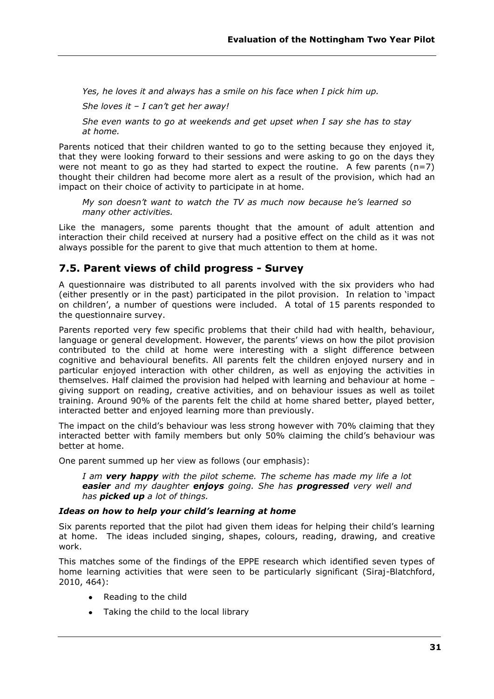*Yes, he loves it and always has a smile on his face when I pick him up.*

*She loves it – I can't get her away!*

*She even wants to go at weekends and get upset when I say she has to stay at home.*

Parents noticed that their children wanted to go to the setting because they enjoyed it, that they were looking forward to their sessions and were asking to go on the days they were not meant to go as they had started to expect the routine. A few parents  $(n=7)$ thought their children had become more alert as a result of the provision, which had an impact on their choice of activity to participate in at home.

*My son doesn't want to watch the TV as much now because he's learned so many other activities.* 

Like the managers, some parents thought that the amount of adult attention and interaction their child received at nursery had a positive effect on the child as it was not always possible for the parent to give that much attention to them at home.

# **7.5. Parent views of child progress - Survey**

A questionnaire was distributed to all parents involved with the six providers who had (either presently or in the past) participated in the pilot provision. In relation to 'impact on children', a number of questions were included. A total of 15 parents responded to the questionnaire survey.

Parents reported very few specific problems that their child had with health, behaviour, language or general development. However, the parents' views on how the pilot provision contributed to the child at home were interesting with a slight difference between cognitive and behavioural benefits. All parents felt the children enjoyed nursery and in particular enjoyed interaction with other children, as well as enjoying the activities in themselves. Half claimed the provision had helped with learning and behaviour at home – giving support on reading, creative activities, and on behaviour issues as well as toilet training. Around 90% of the parents felt the child at home shared better, played better, interacted better and enjoyed learning more than previously.

The impact on the child's behaviour was less strong however with 70% claiming that they interacted better with family members but only 50% claiming the child's behaviour was better at home.

One parent summed up her view as follows (our emphasis):

*I am very happy with the pilot scheme. The scheme has made my life a lot easier and my daughter enjoys going. She has progressed very well and has picked up a lot of things.*

## *Ideas on how to help your child's learning at home*

Six parents reported that the pilot had given them ideas for helping their child's learning at home. The ideas included singing, shapes, colours, reading, drawing, and creative work.

This matches some of the findings of the EPPE research which identified seven types of home learning activities that were seen to be particularly significant (Siraj-Blatchford, 2010, 464):

- Reading to the child
- Taking the child to the local library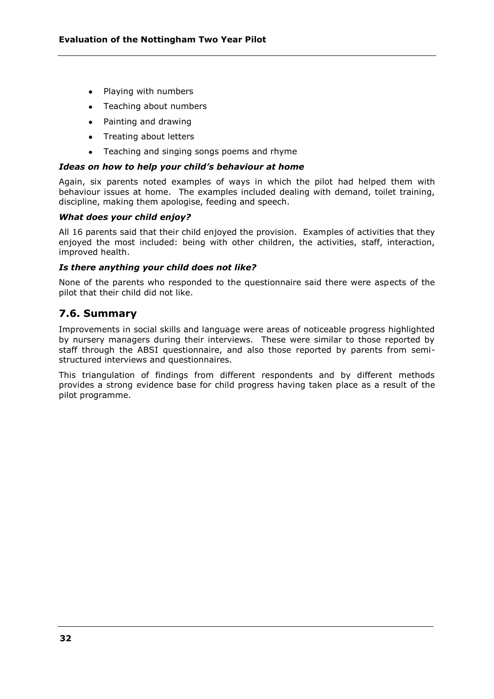- Playing with numbers
- Teaching about numbers
- Painting and drawing
- Treating about letters
- Teaching and singing songs poems and rhyme  $\bullet$

#### *Ideas on how to help your child's behaviour at home*

Again, six parents noted examples of ways in which the pilot had helped them with behaviour issues at home. The examples included dealing with demand, toilet training, discipline, making them apologise, feeding and speech.

#### *What does your child enjoy?*

All 16 parents said that their child enjoyed the provision. Examples of activities that they enjoyed the most included: being with other children, the activities, staff, interaction, improved health.

#### *Is there anything your child does not like?*

None of the parents who responded to the questionnaire said there were aspects of the pilot that their child did not like.

# **7.6. Summary**

Improvements in social skills and language were areas of noticeable progress highlighted by nursery managers during their interviews. These were similar to those reported by staff through the ABSI questionnaire, and also those reported by parents from semistructured interviews and questionnaires.

This triangulation of findings from different respondents and by different methods provides a strong evidence base for child progress having taken place as a result of the pilot programme.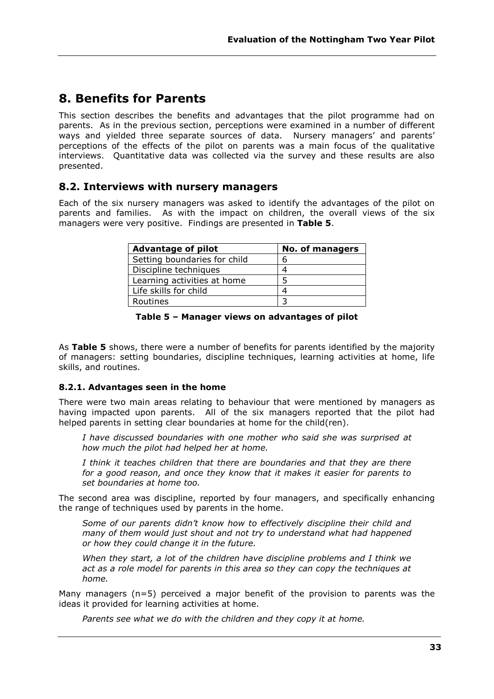# **8. Benefits for Parents**

This section describes the benefits and advantages that the pilot programme had on parents. As in the previous section, perceptions were examined in a number of different ways and yielded three separate sources of data. Nursery managers' and parents' perceptions of the effects of the pilot on parents was a main focus of the qualitative interviews. Quantitative data was collected via the survey and these results are also presented.

# **8.2. Interviews with nursery managers**

Each of the six nursery managers was asked to identify the advantages of the pilot on parents and families. As with the impact on children, the overall views of the six managers were very positive. Findings are presented in **Table 5**.

| <b>Advantage of pilot</b>    | <b>No. of managers</b> |
|------------------------------|------------------------|
| Setting boundaries for child |                        |
| Discipline techniques        |                        |
| Learning activities at home  |                        |
| Life skills for child        |                        |
| Routines                     |                        |

#### **Table 5 – Manager views on advantages of pilot**

As **Table 5** shows, there were a number of benefits for parents identified by the majority of managers: setting boundaries, discipline techniques, learning activities at home, life skills, and routines.

## **8.2.1. Advantages seen in the home**

There were two main areas relating to behaviour that were mentioned by managers as having impacted upon parents. All of the six managers reported that the pilot had helped parents in setting clear boundaries at home for the child(ren).

*I have discussed boundaries with one mother who said she was surprised at how much the pilot had helped her at home.*

*I think it teaches children that there are boundaries and that they are there for a good reason, and once they know that it makes it easier for parents to set boundaries at home too.* 

The second area was discipline, reported by four managers, and specifically enhancing the range of techniques used by parents in the home.

*Some of our parents didn't know how to effectively discipline their child and many of them would just shout and not try to understand what had happened or how they could change it in the future.* 

*When they start, a lot of the children have discipline problems and I think we act as a role model for parents in this area so they can copy the techniques at home.* 

Many managers  $(n=5)$  perceived a major benefit of the provision to parents was the ideas it provided for learning activities at home.

*Parents see what we do with the children and they copy it at home.*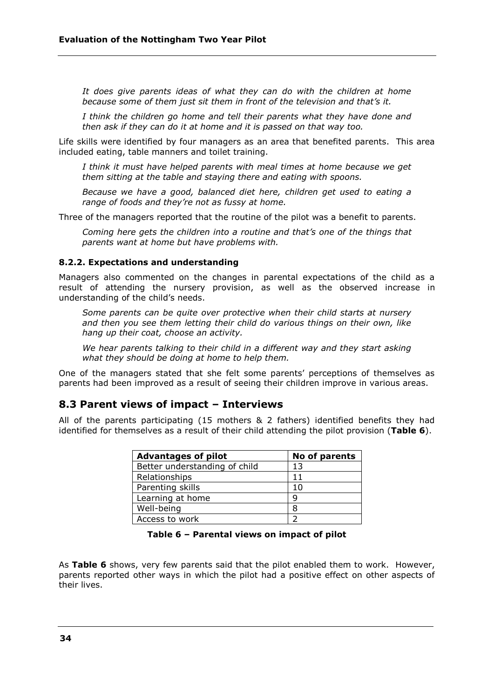*It does give parents ideas of what they can do with the children at home because some of them just sit them in front of the television and that's it.*

*I think the children go home and tell their parents what they have done and then ask if they can do it at home and it is passed on that way too.*

Life skills were identified by four managers as an area that benefited parents. This area included eating, table manners and toilet training.

*I think it must have helped parents with meal times at home because we get them sitting at the table and staying there and eating with spoons.*

*Because we have a good, balanced diet here, children get used to eating a range of foods and they're not as fussy at home.*

Three of the managers reported that the routine of the pilot was a benefit to parents.

*Coming here gets the children into a routine and that's one of the things that parents want at home but have problems with.* 

#### **8.2.2. Expectations and understanding**

Managers also commented on the changes in parental expectations of the child as a result of attending the nursery provision, as well as the observed increase in understanding of the child's needs.

*Some parents can be quite over protective when their child starts at nursery and then you see them letting their child do various things on their own, like hang up their coat, choose an activity.*

*We hear parents talking to their child in a different way and they start asking what they should be doing at home to help them.*

One of the managers stated that she felt some parents' perceptions of themselves as parents had been improved as a result of seeing their children improve in various areas.

## **8.3 Parent views of impact – Interviews**

All of the parents participating (15 mothers & 2 fathers) identified benefits they had identified for themselves as a result of their child attending the pilot provision (**Table 6**).

| <b>Advantages of pilot</b>    | No of parents |
|-------------------------------|---------------|
| Better understanding of child | 13            |
| Relationships                 | 11            |
| Parenting skills              | 1 ()          |
| Learning at home              |               |
| Well-being                    | 8             |
| Access to work                |               |

#### **Table 6 – Parental views on impact of pilot**

As **Table 6** shows, very few parents said that the pilot enabled them to work. However, parents reported other ways in which the pilot had a positive effect on other aspects of their lives.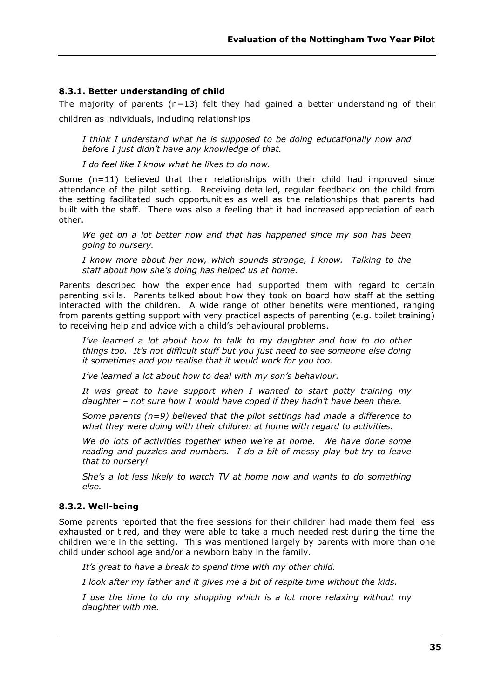#### **8.3.1. Better understanding of child**

The majority of parents  $(n=13)$  felt they had gained a better understanding of their children as individuals, including relationships

*I think I understand what he is supposed to be doing educationally now and before I just didn't have any knowledge of that.*

*I do feel like I know what he likes to do now.*

Some  $(n=11)$  believed that their relationships with their child had improved since attendance of the pilot setting. Receiving detailed, regular feedback on the child from the setting facilitated such opportunities as well as the relationships that parents had built with the staff. There was also a feeling that it had increased appreciation of each other.

*We get on a lot better now and that has happened since my son has been going to nursery.* 

*I know more about her now, which sounds strange, I know. Talking to the staff about how she's doing has helped us at home.* 

Parents described how the experience had supported them with regard to certain parenting skills. Parents talked about how they took on board how staff at the setting interacted with the children. A wide range of other benefits were mentioned, ranging from parents getting support with very practical aspects of parenting (e.g. toilet training) to receiving help and advice with a child's behavioural problems.

*I've learned a lot about how to talk to my daughter and how to do other things too. It's not difficult stuff but you just need to see someone else doing it sometimes and you realise that it would work for you too.* 

*I've learned a lot about how to deal with my son's behaviour.*

*It was great to have support when I wanted to start potty training my daughter – not sure how I would have coped if they hadn't have been there.*

*Some parents (n=9) believed that the pilot settings had made a difference to what they were doing with their children at home with regard to activities.* 

*We do lots of activities together when we're at home. We have done some reading and puzzles and numbers. I do a bit of messy play but try to leave that to nursery!*

*She's a lot less likely to watch TV at home now and wants to do something else.*

#### **8.3.2. Well-being**

Some parents reported that the free sessions for their children had made them feel less exhausted or tired, and they were able to take a much needed rest during the time the children were in the setting. This was mentioned largely by parents with more than one child under school age and/or a newborn baby in the family.

*It's great to have a break to spend time with my other child.*

*I look after my father and it gives me a bit of respite time without the kids.* 

*I use the time to do my shopping which is a lot more relaxing without my daughter with me.*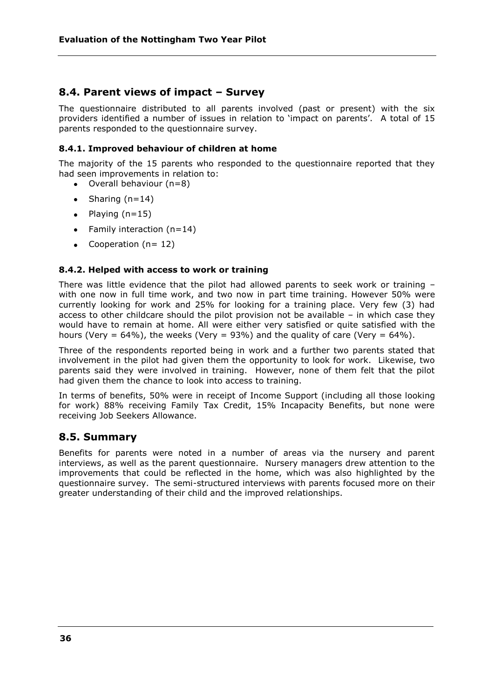# **8.4. Parent views of impact – Survey**

The questionnaire distributed to all parents involved (past or present) with the six providers identified a number of issues in relation to 'impact on parents'. A total of 15 parents responded to the questionnaire survey.

### **8.4.1. Improved behaviour of children at home**

The majority of the 15 parents who responded to the questionnaire reported that they had seen improvements in relation to:

- $\bullet$  Overall behaviour (n=8)
- Sharing  $(n=14)$
- $\bullet$  Playing (n=15)
- Family interaction  $(n=14)$
- Cooperation  $(n= 12)$

#### **8.4.2. Helped with access to work or training**

There was little evidence that the pilot had allowed parents to seek work or training – with one now in full time work, and two now in part time training. However 50% were currently looking for work and 25% for looking for a training place. Very few (3) had access to other childcare should the pilot provision not be available – in which case they would have to remain at home. All were either very satisfied or quite satisfied with the hours (Very =  $64\%$ ), the weeks (Very =  $93\%$ ) and the quality of care (Very =  $64\%$ ).

Three of the respondents reported being in work and a further two parents stated that involvement in the pilot had given them the opportunity to look for work. Likewise, two parents said they were involved in training. However, none of them felt that the pilot had given them the chance to look into access to training.

In terms of benefits, 50% were in receipt of Income Support (including all those looking for work) 88% receiving Family Tax Credit, 15% Incapacity Benefits, but none were receiving Job Seekers Allowance.

## **8.5. Summary**

Benefits for parents were noted in a number of areas via the nursery and parent interviews, as well as the parent questionnaire. Nursery managers drew attention to the improvements that could be reflected in the home, which was also highlighted by the questionnaire survey. The semi-structured interviews with parents focused more on their greater understanding of their child and the improved relationships.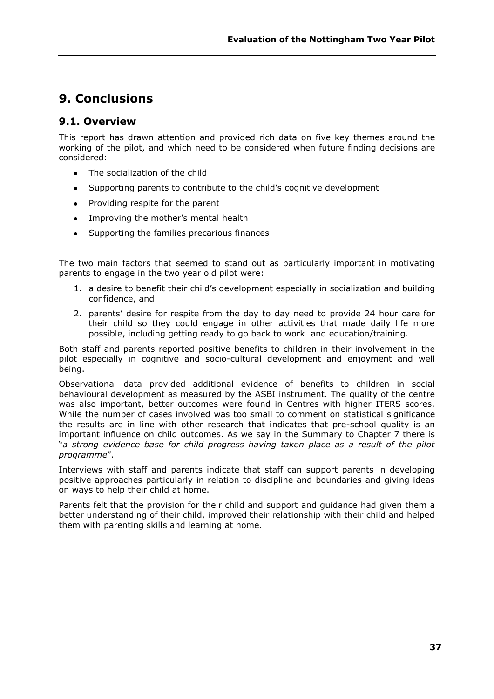# **9. Conclusions**

# **9.1. Overview**

This report has drawn attention and provided rich data on five key themes around the working of the pilot, and which need to be considered when future finding decisions are considered:

- The socialization of the child
- Supporting parents to contribute to the child's cognitive development
- Providing respite for the parent
- Improving the mother's mental health
- Supporting the families precarious finances

The two main factors that seemed to stand out as particularly important in motivating parents to engage in the two year old pilot were:

- 1. a desire to benefit their child's development especially in socialization and building confidence, and
- 2. parents' desire for respite from the day to day need to provide 24 hour care for their child so they could engage in other activities that made daily life more possible, including getting ready to go back to work and education/training.

Both staff and parents reported positive benefits to children in their involvement in the pilot especially in cognitive and socio-cultural development and enjoyment and well being.

Observational data provided additional evidence of benefits to children in social behavioural development as measured by the ASBI instrument. The quality of the centre was also important, better outcomes were found in Centres with higher ITERS scores. While the number of cases involved was too small to comment on statistical significance the results are in line with other research that indicates that pre-school quality is an important influence on child outcomes. As we say in the Summary to Chapter 7 there is ―*a strong evidence base for child progress having taken place as a result of the pilot programme*‖.

Interviews with staff and parents indicate that staff can support parents in developing positive approaches particularly in relation to discipline and boundaries and giving ideas on ways to help their child at home.

Parents felt that the provision for their child and support and guidance had given them a better understanding of their child, improved their relationship with their child and helped them with parenting skills and learning at home.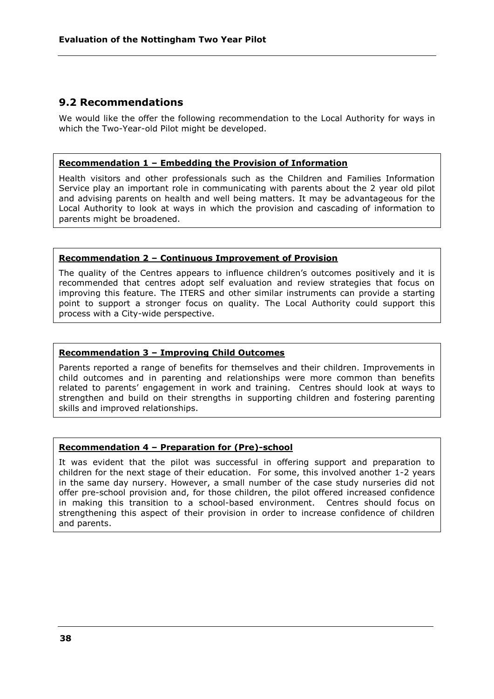# **9.2 Recommendations**

We would like the offer the following recommendation to the Local Authority for ways in which the Two-Year-old Pilot might be developed.

#### **Recommendation 1 – Embedding the Provision of Information**

Health visitors and other professionals such as the Children and Families Information Service play an important role in communicating with parents about the 2 year old pilot and advising parents on health and well being matters. It may be advantageous for the Local Authority to look at ways in which the provision and cascading of information to parents might be broadened.

#### **Recommendation 2 – Continuous Improvement of Provision**

The quality of the Centres appears to influence children's outcomes positively and it is recommended that centres adopt self evaluation and review strategies that focus on improving this feature. The ITERS and other similar instruments can provide a starting point to support a stronger focus on quality. The Local Authority could support this process with a City-wide perspective.

### **Recommendation 3 – Improving Child Outcomes**

Parents reported a range of benefits for themselves and their children. Improvements in child outcomes and in parenting and relationships were more common than benefits related to parents' engagement in work and training. Centres should look at ways to strengthen and build on their strengths in supporting children and fostering parenting skills and improved relationships.

## **Recommendation 4 – Preparation for (Pre)-school**

It was evident that the pilot was successful in offering support and preparation to children for the next stage of their education. For some, this involved another 1-2 years in the same day nursery. However, a small number of the case study nurseries did not offer pre-school provision and, for those children, the pilot offered increased confidence in making this transition to a school-based environment. Centres should focus on strengthening this aspect of their provision in order to increase confidence of children and parents.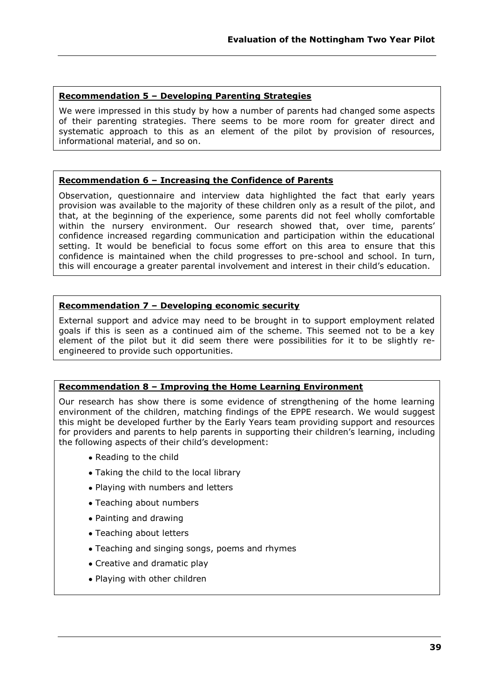### **Recommendation 5 – Developing Parenting Strategies**

We were impressed in this study by how a number of parents had changed some aspects of their parenting strategies. There seems to be more room for greater direct and systematic approach to this as an element of the pilot by provision of resources, informational material, and so on.

## **Recommendation 6 – Increasing the Confidence of Parents**

Observation, questionnaire and interview data highlighted the fact that early years provision was available to the majority of these children only as a result of the pilot, and that, at the beginning of the experience, some parents did not feel wholly comfortable within the nursery environment. Our research showed that, over time, parents' confidence increased regarding communication and participation within the educational setting. It would be beneficial to focus some effort on this area to ensure that this confidence is maintained when the child progresses to pre-school and school. In turn, this will encourage a greater parental involvement and interest in their child's education.

## **Recommendation 7 – Developing economic security**

External support and advice may need to be brought in to support employment related goals if this is seen as a continued aim of the scheme. This seemed not to be a key element of the pilot but it did seem there were possibilities for it to be slightly reengineered to provide such opportunities.

## **Recommendation 8 – Improving the Home Learning Environment**

Our research has show there is some evidence of strengthening of the home learning environment of the children, matching findings of the EPPE research. We would suggest this might be developed further by the Early Years team providing support and resources for providers and parents to help parents in supporting their children's learning, including the following aspects of their child's development:

- Reading to the child
- Taking the child to the local library
- Playing with numbers and letters
- Teaching about numbers
- Painting and drawing
- Teaching about letters
- Teaching and singing songs, poems and rhymes
- Creative and dramatic play
- Playing with other children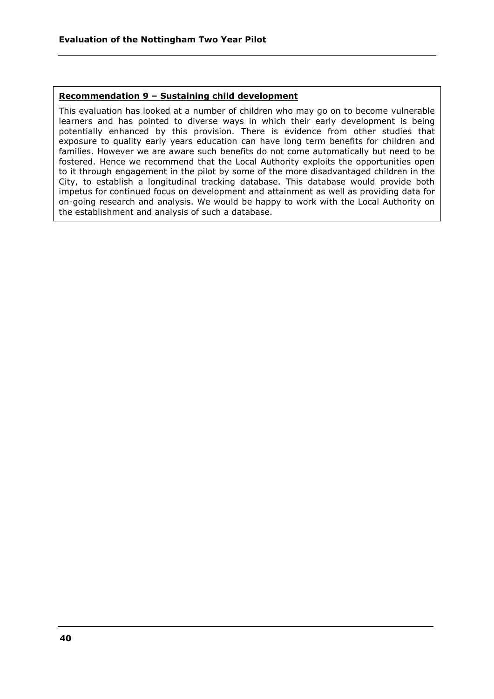### **Recommendation 9 – Sustaining child development**

This evaluation has looked at a number of children who may go on to become vulnerable learners and has pointed to diverse ways in which their early development is being potentially enhanced by this provision. There is evidence from other studies that exposure to quality early years education can have long term benefits for children and families. However we are aware such benefits do not come automatically but need to be fostered. Hence we recommend that the Local Authority exploits the opportunities open to it through engagement in the pilot by some of the more disadvantaged children in the City, to establish a longitudinal tracking database. This database would provide both impetus for continued focus on development and attainment as well as providing data for on-going research and analysis. We would be happy to work with the Local Authority on the establishment and analysis of such a database.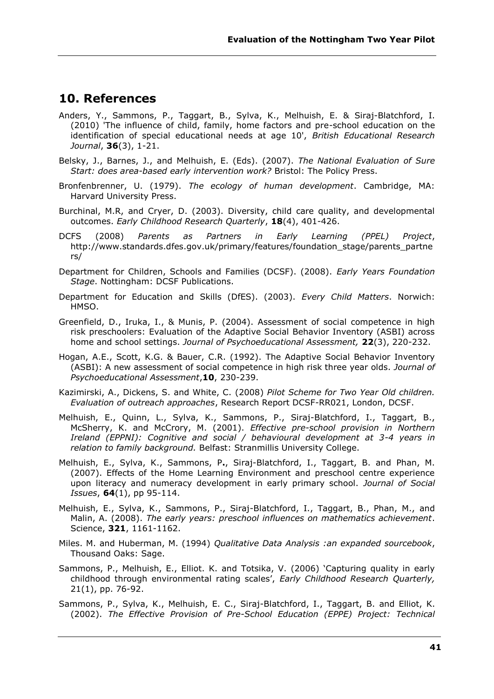# **10. References**

- Anders, Y., Sammons, P., Taggart, B., Sylva, K., Melhuish, E. & Siraj-Blatchford, I. (2010) 'The influence of child, family, home factors and pre-school education on the identification of special educational needs at age 10', *British Educational Research Journal*, **36**(3), 1-21.
- Belsky, J., Barnes, J., and Melhuish, E. (Eds). (2007). *The National Evaluation of Sure Start: does area-based early intervention work?* Bristol: The Policy Press.
- Bronfenbrenner, U. (1979). *The ecology of human development*. Cambridge, MA: Harvard University Press.
- Burchinal, M.R, and Cryer, D. (2003). Diversity, child care quality, and developmental outcomes. *Early Childhood Research Quarterly*, **18**(4), 401-426.
- DCFS (2008) *Parents as Partners in Early Learning (PPEL) Project*, http://www.standards.dfes.gov.uk/primary/features/foundation\_stage/parents\_partne rs/
- Department for Children, Schools and Families (DCSF). (2008). *Early Years Foundation Stage*. Nottingham: DCSF Publications.
- Department for Education and Skills (DfES). (2003). *Every Child Matters*. Norwich: HMSO.
- Greenfield, D., Iruka, I., & Munis, P. (2004). Assessment of social competence in high risk preschoolers: Evaluation of the Adaptive Social Behavior Inventory (ASBI) across home and school settings. *Journal of Psychoeducational Assessment,* **22**(3), 220-232.
- Hogan, A.E., Scott, K.G. & Bauer, C.R. (1992). The Adaptive Social Behavior Inventory (ASBI): A new assessment of social competence in high risk three year olds. *Journal of Psychoeducational Assessment*,**10**, 230-239.
- Kazimirski, A., Dickens, S. and White, C. (2008) *Pilot Scheme for Two Year Old children. Evaluation of outreach approaches*, Research Report DCSF-RR021, London, DCSF.
- Melhuish, E., Quinn, L., Sylva, K., Sammons, P., Siraj-Blatchford, I., Taggart, B., McSherry, K. and McCrory, M. (2001). *Effective pre-school provision in Northern Ireland (EPPNI): Cognitive and social / behavioural development at 3-4 years in relation to family background.* Belfast: Stranmillis University College.
- Melhuish, E., Sylva, K., Sammons, P**.**, Siraj-Blatchford, I., Taggart, B. and Phan, M. (2007). Effects of the Home Learning Environment and preschool centre experience upon literacy and numeracy development in early primary school. *Journal of Social Issues*, **64**(1), pp 95-114.
- Melhuish, E., Sylva, K., Sammons, P., Siraj-Blatchford, I., Taggart, B., Phan, M., and Malin, A. (2008). *The early years: preschool influences on mathematics achievement*. Science, **321**, 1161-1162.
- Miles. M. and Huberman, M. (1994) *Qualitative Data Analysis :an expanded sourcebook*, Thousand Oaks: Sage.
- Sammons, P., Melhuish, E., Elliot. K. and Totsika, V. (2006) 'Capturing quality in early childhood through environmental rating scales', *Early Childhood Research Quarterly,* 21(1), pp. 76-92.
- Sammons, P., Sylva, K., Melhuish, E. C., Siraj-Blatchford, I., Taggart, B. and Elliot, K. (2002). *The Effective Provision of Pre-School Education (EPPE) Project: Technical*